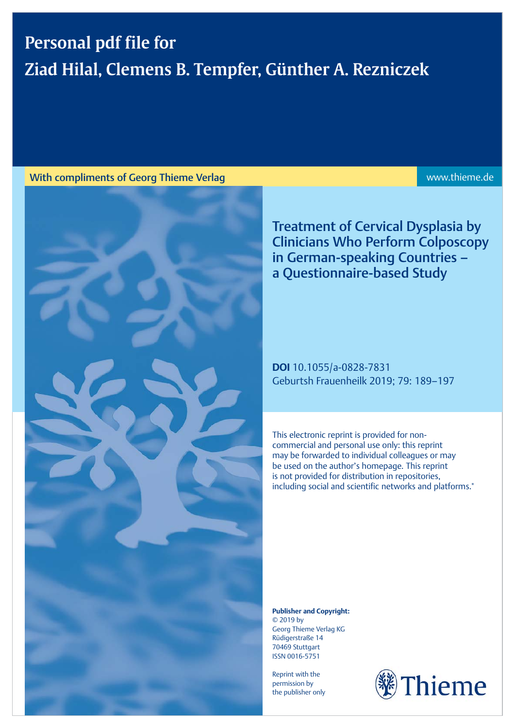# Personal pdf file for Ziad Hilal, Clemens B. Tempfer, Günther A. Rezniczek

## With compliments of Georg Thieme Verlag www.thieme.de



Treatment of Cervical Dysplasia by Clinicians Who Perform Colposcopy in German-speaking Countries – a Questionnaire-based Study

DOI 10.1055/a-0828-7831 Geburtsh Frauenheilk 2019; 79: 189–197

This electronic reprint is provided for noncommercial and personal use only: this reprint may be forwarded to individual colleagues or may be used on the author's homepage. This reprint is not provided for distribution in repositories, including social and scientific networks and platforms."

Publisher and Copyright: © 2019 by Georg Thieme Verlag KG Rüdigerstraße 14 70469 Stuttgart ISSN 0016‑5751

Reprint with the permission by the publisher only

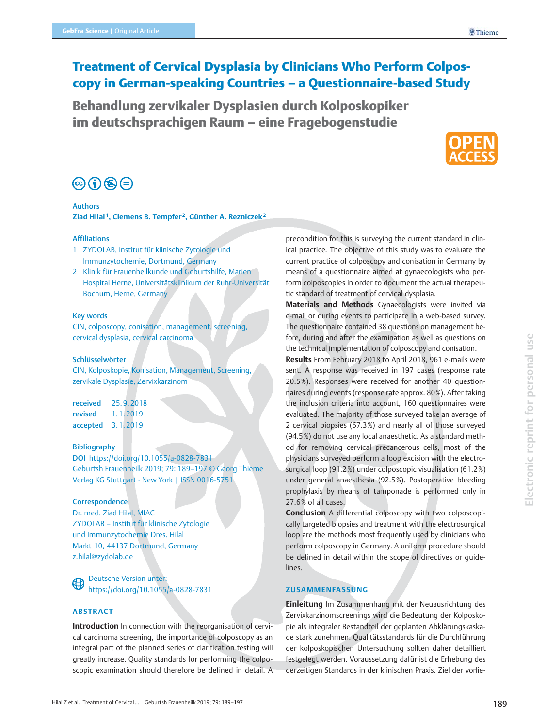## Treatment of Cervical Dysplasia by Clinicians Who Perform Colposcopy in German-speaking Countries – a Questionnaire-based Study

Behandlung zervikaler Dysplasien durch Kolposkopiker im deutschsprachigen Raum – eine Fragebogenstudie



## $\textcircled{\scriptsize{6}}$   $\textcircled{\scriptsize{i}}$   $\textcircled{\scriptsize{6}}$   $\textcircled{\scriptsize{i}}$

### Authors Ziad Hilal<sup>1</sup>, Clemens B. Tempfer<sup>2</sup>, Günther A. Rezniczek<sup>2</sup>

### Affiliations

- 1 ZYDOLAB, Institut für klinische Zytologie und Immunzytochemie, Dortmund, Germany
- 2 Klinik für Frauenheilkunde und Geburtshilfe, Marien Hospital Herne, Universitätsklinikum der Ruhr-Universität Bochum, Herne, Germany

### Key words

CIN, colposcopy, conisation, management, screening, cervical dysplasia, cervical carcinoma

### Schlüsselwörter

CIN, Kolposkopie, Konisation, Management, Screening, zervikale Dysplasie, Zervixkarzinom

received 25. 9. 2018 revised 1. 1. 2019 accepted 3. 1. 2019

### Bibliography

DOI https://doi.org/10.1055/a-0828-7831 Geburtsh Frauenheilk 2019; 79: 189–197 © Georg Thieme Verlag KG Stuttgart · New York | ISSN 0016-5751

### **Correspondence**

Dr. med. Ziad Hilal, MIAC ZYDOLAB – Institut für klinische Zytologie und Immunzytochemie Dres. Hilal Markt 10, 44137 Dortmund, Germany z.hilal@zydolab.de

Deutsche Version unter: ∉ https://doi.org/10.1055/a-0828-7831

### ABSTRACT

Introduction In connection with the reorganisation of cervical carcinoma screening, the importance of colposcopy as an integral part of the planned series of clarification testing will greatly increase. Quality standards for performing the colposcopic examination should therefore be defined in detail. A precondition for this is surveying the current standard in clinical practice. The objective of this study was to evaluate the current practice of colposcopy and conisation in Germany by means of a questionnaire aimed at gynaecologists who perform colposcopies in order to document the actual therapeutic standard of treatment of cervical dysplasia.

Materials and Methods Gynaecologists were invited via e‑mail or during events to participate in a web-based survey. The questionnaire contained 38 questions on management before, during and after the examination as well as questions on the technical implementation of colposcopy and conisation.

Results From February 2018 to April 2018, 961 e-mails were sent. A response was received in 197 cases (response rate 20.5%). Responses were received for another 40 questionnaires during events (response rate approx. 80%). After taking the inclusion criteria into account, 160 questionnaires were evaluated. The majority of those surveyed take an average of 2 cervical biopsies (67.3%) and nearly all of those surveyed (94.5%) do not use any local anaesthetic. As a standard method for removing cervical precancerous cells, most of the physicians surveyed perform a loop excision with the electrosurgical loop (91.2%) under colposcopic visualisation (61.2%) under general anaesthesia (92.5%). Postoperative bleeding prophylaxis by means of tamponade is performed only in 27.6% of all cases.

Conclusion A differential colposcopy with two colposcopically targeted biopsies and treatment with the electrosurgical loop are the methods most frequently used by clinicians who perform colposcopy in Germany. A uniform procedure should be defined in detail within the scope of directives or guidelines.

### ZUSAMMENFASSUNG

Einleitung Im Zusammenhang mit der Neuausrichtung des Zervixkarzinomscreenings wird die Bedeutung der Kolposkopie als integraler Bestandteil der geplanten Abklärungskaskade stark zunehmen. Qualitätsstandards für die Durchführung der kolposkopischen Untersuchung sollten daher detailliert festgelegt werden. Voraussetzung dafür ist die Erhebung des derzeitigen Standards in der klinischen Praxis. Ziel der vorlie-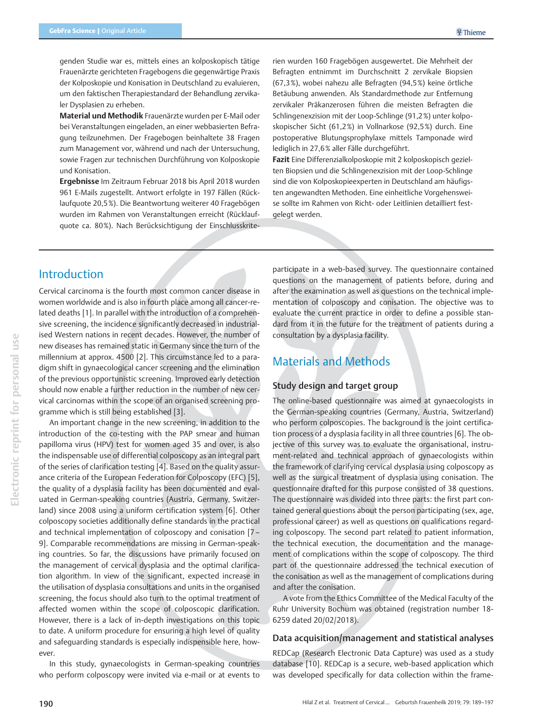genden Studie war es, mittels eines an kolposkopisch tätige Frauenärzte gerichteten Fragebogens die gegenwärtige Praxis der Kolposkopie und Konisation in Deutschland zu evaluieren, um den faktischen Therapiestandard der Behandlung zervikaler Dysplasien zu erheben.

Material und Methodik Frauenärzte wurden per E-Mail oder bei Veranstaltungen eingeladen, an einer webbasierten Befragung teilzunehmen. Der Fragebogen beinhaltete 38 Fragen zum Management vor, während und nach der Untersuchung, sowie Fragen zur technischen Durchführung von Kolposkopie und Konisation.

Ergebnisse Im Zeitraum Februar 2018 bis April 2018 wurden 961 E-Mails zugestellt. Antwort erfolgte in 197 Fällen (Rücklaufquote 20,5%). Die Beantwortung weiterer 40 Fragebögen wurden im Rahmen von Veranstaltungen erreicht (Rücklaufquote ca. 80%). Nach Berücksichtigung der Einschlusskrite-

rien wurden 160 Fragebögen ausgewertet. Die Mehrheit der Befragten entnimmt im Durchschnitt 2 zervikale Biopsien (67,3%), wobei nahezu alle Befragten (94,5%) keine örtliche Betäubung anwenden. Als Standardmethode zur Entfernung zervikaler Präkanzerosen führen die meisten Befragten die Schlingenexzision mit der Loop-Schlinge (91,2%) unter kolposkopischer Sicht (61,2%) in Vollnarkose (92,5%) durch. Eine postoperative Blutungsprophylaxe mittels Tamponade wird lediglich in 27,6% aller Fälle durchgeführt.

Fazit Eine Differenzialkolposkopie mit 2 kolposkopisch gezielten Biopsien und die Schlingenexzision mit der Loop-Schlinge sind die von Kolposkopieexperten in Deutschland am häufigsten angewandten Methoden. Eine einheitliche Vorgehensweise sollte im Rahmen von Richt- oder Leitlinien detailliert festgelegt werden.

## Introduction

Cervical carcinoma is the fourth most common cancer disease in women worldwide and is also in fourth place among all cancer-related deaths [1]. In parallel with the introduction of a comprehensive screening, the incidence significantly decreased in industrialised Western nations in recent decades. However, the number of new diseases has remained static in Germany since the turn of the millennium at approx. 4500 [2]. This circumstance led to a paradigm shift in gynaecological cancer screening and the elimination of the previous opportunistic screening. Improved early detection should now enable a further reduction in the number of new cervical carcinomas within the scope of an organised screening programme which is still being established [3].

An important change in the new screening, in addition to the introduction of the co-testing with the PAP smear and human papilloma virus (HPV) test for women aged 35 and over, is also the indispensable use of differential colposcopy as an integral part of the series of clarification testing [4]. Based on the quality assurance criteria of the European Federation for Colposcopy (EFC) [5], the quality of a dysplasia facility has been documented and evaluated in German-speaking countries (Austria, Germany, Switzerland) since 2008 using a uniform certification system [6]. Other colposcopy societies additionally define standards in the practical and technical implementation of colposcopy and conisation [7– 9]. Comparable recommendations are missing in German-speaking countries. So far, the discussions have primarily focused on the management of cervical dysplasia and the optimal clarification algorithm. In view of the significant, expected increase in the utilisation of dysplasia consultations and units in the organised screening, the focus should also turn to the optimal treatment of affected women within the scope of colposcopic clarification. However, there is a lack of in-depth investigations on this topic to date. A uniform procedure for ensuring a high level of quality and safeguarding standards is especially indispensible here, however.

In this study, gynaecologists in German-speaking countries who perform colposcopy were invited via e-mail or at events to participate in a web-based survey. The questionnaire contained questions on the management of patients before, during and after the examination as well as questions on the technical implementation of colposcopy and conisation. The objective was to evaluate the current practice in order to define a possible standard from it in the future for the treatment of patients during a consultation by a dysplasia facility.

## Materials and Methods

### Study design and target group

The online-based questionnaire was aimed at gynaecologists in the German-speaking countries (Germany, Austria, Switzerland) who perform colposcopies. The background is the joint certification process of a dysplasia facility in all three countries [6]. The objective of this survey was to evaluate the organisational, instrument-related and technical approach of gynaecologists within the framework of clarifying cervical dysplasia using colposcopy as well as the surgical treatment of dysplasia using conisation. The questionnaire drafted for this purpose consisted of 38 questions. The questionnaire was divided into three parts: the first part contained general questions about the person participating (sex, age, professional career) as well as questions on qualifications regarding colposcopy. The second part related to patient information, the technical execution, the documentation and the management of complications within the scope of colposcopy. The third part of the questionnaire addressed the technical execution of the conisation as well as the management of complications during and after the conisation.

A vote from the Ethics Committee of the Medical Faculty of the Ruhr University Bochum was obtained (registration number 18- 6259 dated 20/02/2018).

### Data acquisition/management and statistical analyses

REDCap (Research Electronic Data Capture) was used as a study database [10]. REDCap is a secure, web-based application which was developed specifically for data collection within the frame-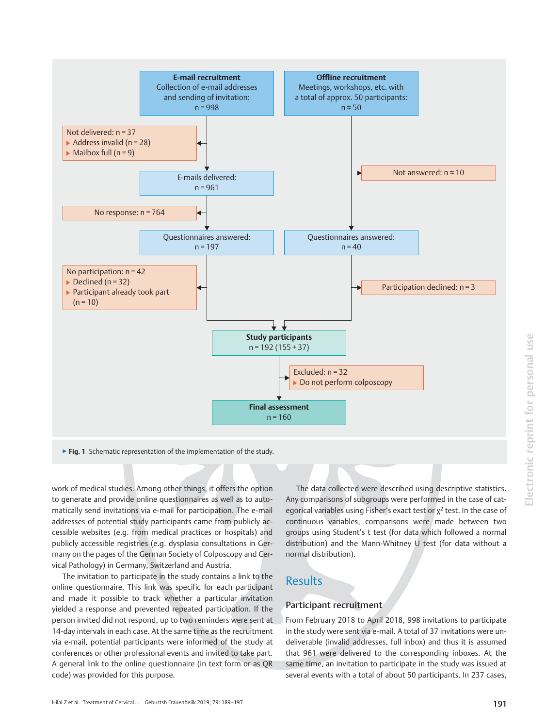

▶ Fig. 1 Schematic representation of the implementation of the study.

work of medical studies. Among other things, it offers the option to generate and provide online questionnaires as well as to automatically send invitations via e-mail for participation. The e-mail addresses of potential study participants came from publicly accessible websites (e.g. from medical practices or hospitals) and publicly accessible registries (e.g. dysplasia consultations in Germany on the pages of the German Society of Colposcopy and Cervical Pathology) in Germany, Switzerland and Austria.

The invitation to participate in the study contains a link to the online questionnaire. This link was specific for each participant and made it possible to track whether a particular invitation yielded a response and prevented repeated participation. If the person invited did not respond, up to two reminders were sent at 14-day intervals in each case. At the same time as the recruitment via e‑mail, potential participants were informed of the study at conferences or other professional events and invited to take part. A general link to the online questionnaire (in text form or as QR code) was provided for this purpose.

The data collected were described using descriptive statistics. Any comparisons of subgroups were performed in the case of categorical variables using Fisher's exact test or  $x^2$  test. In the case of continuous variables, comparisons were made between two groups using Student's t test (for data which followed a normal distribution) and the Mann-Whitney U test (for data without a normal distribution).

## Results

## Participant recruitment

From February 2018 to April 2018, 998 invitations to participate in the study were sent via e-mail. A total of 37 invitations were undeliverable (invalid addresses, full inbox) and thus it is assumed that 961 were delivered to the corresponding inboxes. At the same time, an invitation to participate in the study was issued at several events with a total of about 50 participants. In 237 cases,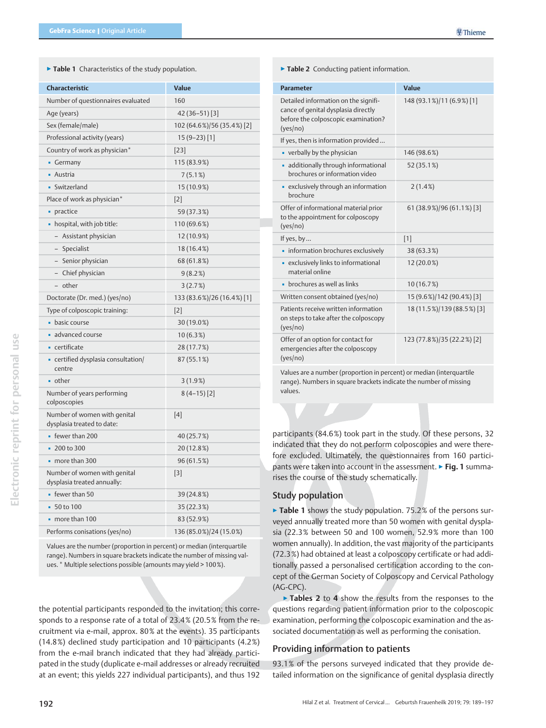▶ Table 1 Characteristics of the study population.

| <b>Characteristic</b>                                       | <b>Value</b>               |
|-------------------------------------------------------------|----------------------------|
| Number of questionnaires evaluated                          | 160                        |
| Age (years)                                                 | $42(36-51)[3]$             |
| Sex (female/male)                                           | 102 (64.6%)/56 (35.4%) [2] |
| Professional activity (years)                               | 15 (9–23) [1]              |
| Country of work as physician*                               | $[23]$                     |
| • Germany                                                   | 115 (83.9%)                |
| - Austria                                                   | 7(5.1%)                    |
| • Switzerland                                               | 15 (10.9%)                 |
| Place of work as physician*                                 | $[2]$                      |
| • practice                                                  | 59 (37.3%)                 |
| - hospital, with job title:                                 | 110 (69.6%)                |
| - Assistant physician                                       | 12 (10.9%)                 |
| - Specialist                                                | 18 (16.4%)                 |
| - Senior physician                                          | 68 (61.8%)                 |
| - Chief physician                                           | 9(8.2%)                    |
| - other                                                     | 3(2.7%)                    |
| Doctorate (Dr. med.) (yes/no)                               | 133 (83.6%)/26 (16.4%) [1] |
| Type of colposcopic training:                               | $\lceil 2 \rceil$          |
| • basic course                                              | 30 (19.0%)                 |
| · advanced course                                           | $10(6.3\%)$                |
| • certificate                                               | 28 (17.7%)                 |
| • certified dysplasia consultation/<br>centre               | 87 (55.1%)                 |
| • other                                                     | 3(1.9%)                    |
| Number of years performing<br>colposcopies                  | $8(4-15)[2]$               |
| Number of women with genital<br>dysplasia treated to date:  | [4]                        |
| • fewer than 200                                            | 40 (25.7%)                 |
| 200 to 300                                                  | 20 (12.8%)                 |
| $\blacksquare$ more than 300                                | 96 (61.5%)                 |
| Number of women with genital<br>dysplasia treated annually: | [3]                        |
| • fewer than 50                                             | 39 (24.8%)                 |
| $-50$ to 100                                                | 35 (22.3%)                 |
| more than 100                                               | 83 (52.9%)                 |
| Performs conisations (yes/no)                               | 136 (85.0%)/24 (15.0%)     |

Values are the number (proportion in percent) or median (interquartile range). Numbers in square brackets indicate the number of missing values. \* Multiple selections possible (amounts may yield > 100%).

the potential participants responded to the invitation; this corresponds to a response rate of a total of 23.4% (20.5% from the recruitment via e‑mail, approx. 80% at the events). 35 participants (14.8%) declined study participation and 10 participants (4.2%) from the e-mail branch indicated that they had already participated in the study (duplicate e‑mail addresses or already recruited at an event; this yields 227 individual participants), and thus 192

▶ Table 2 Conducting patient information.

| <b>Parameter</b>                                                                                                               | Value                             |
|--------------------------------------------------------------------------------------------------------------------------------|-----------------------------------|
| Detailed information on the signifi-<br>cance of genital dysplasia directly<br>before the colposcopic examination?<br>(yes/no) | 148 (93.1%)/11 (6.9%) [1]         |
| If yes, then is information provided                                                                                           |                                   |
| • verbally by the physician                                                                                                    | 146 (98.6%)                       |
| - additionally through informational<br>brochures or information video                                                         | 52 (35.1%)                        |
| • exclusively through an information<br>brochure                                                                               | $2(1.4\%)$                        |
| Offer of informational material prior<br>to the appointment for colposcopy<br>(yes/no)                                         | 61 (38.9%)/96 (61.1%) [3]         |
| If yes, by                                                                                                                     | $[1]$                             |
| · information brochures exclusively                                                                                            | 38 (63.3%)                        |
| • exclusively links to informational<br>material online                                                                        | 12 (20.0%)                        |
| • brochures as well as links                                                                                                   | 10(16.7%)                         |
| Written consent obtained (yes/no)                                                                                              | 15 (9.6%)/142 (90.4%) [3]         |
| Patients receive written information<br>on steps to take after the colposcopy<br>(yes/no)                                      | 18 (11.5%)/139 (88.5%) [3]        |
| Offer of an option for contact for<br>emergencies after the colposcopy<br>(yes/no)                                             | 123 (77.8%)/35 (22.2%) [2]        |
| . او در دانلو در در در در در او در دارد<br>1/2                                                                                 | $-$ diagonal (inclusion of $\sim$ |

Values are a number (proportion in percent) or median (interquartile range). Numbers in square brackets indicate the number of missing values.

participants (84.6%) took part in the study. Of these persons, 32 indicated that they do not perform colposcopies and were therefore excluded. Ultimately, the questionnaires from 160 participants were taken into account in the assessment. ▶ Fig. 1 summarises the course of the study schematically.

### Study population

▶ Table 1 shows the study population. 75.2% of the persons surveyed annually treated more than 50 women with genital dysplasia (22.3% between 50 and 100 women, 52.9% more than 100 women annually). In addition, the vast majority of the participants (72.3%) had obtained at least a colposcopy certificate or had additionally passed a personalised certification according to the concept of the German Society of Colposcopy and Cervical Pathology (AG‑CPC).

▶ Tables 2 to 4 show the results from the responses to the questions regarding patient information prior to the colposcopic examination, performing the colposcopic examination and the associated documentation as well as performing the conisation.

### Providing information to patients

93.1% of the persons surveyed indicated that they provide detailed information on the significance of genital dysplasia directly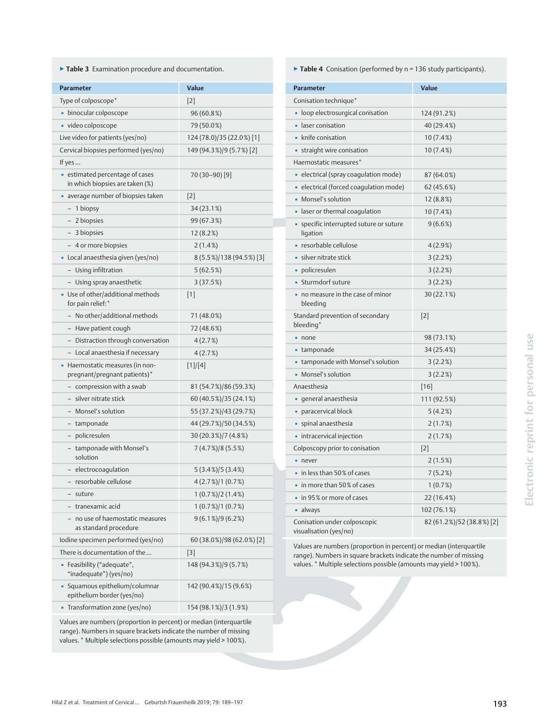▶ Table 3 Examination procedure and documentation.

| <b>Parameter</b>                                                   | <b>Value</b>              |
|--------------------------------------------------------------------|---------------------------|
| Type of colposcope*                                                | [2]                       |
| • binocular colposcope                                             | 96 (60.8%)                |
| • video colposcope                                                 | 79 (50.0%)                |
| Live video for patients (yes/no)                                   | 124 (78.0)/35 (22.0%) [1] |
| Cervical biopsies performed (yes/no)                               | 149 (94.3%)/9 (5.7%) [2]  |
| If yes                                                             |                           |
| • estimated percentage of cases<br>in which biopsies are taken (%) | 70 (30–90) [9]            |
| • average number of biopsies taken                                 | [2]                       |
| – 1 biopsy                                                         | 34 (23.1%)                |
| - 2 biopsies                                                       | 99 (67.3%)                |
| - 3 biopsies                                                       | 12(8.2%)                  |
| - 4 or more biopsies                                               | $2(1.4\%)$                |
| • Local anaesthesia given (yes/no)                                 | 8 (5.5%)/138 (94.5%) [3]  |
| - Using infiltration                                               | 5 (62.5%)                 |
| - Using spray anaesthetic                                          | 3(37.5%)                  |
| • Use of other/additional methods<br>for pain relief:*             | $[1]$                     |
| - No other/additional methods                                      | 71 (48.0%)                |
| - Have patient cough                                               | 72 (48.6%)                |
| - Distraction through conversation                                 | 4(2.7%)                   |
| - Local anaesthesia if necessary                                   | 4(2.7%)                   |
| - Haemostatic measures (in non-<br>pregnant/pregnant patients)*    | [1]/[4]                   |
| - compression with a swab                                          | 81 (54.7%)/86 (59.3%)     |
| - silver nitrate stick                                             | 60 (40.5%)/35 (24.1%)     |
| - Monsel's solution                                                | 55 (37.2%)/43 (29.7%)     |
| – tamponade                                                        | 44 (29.7%)/50 (34.5%)     |
| - policresulen                                                     | 30 (20.3%)/7 (4.8%)       |
| - tamponade with Monsel's<br>solution                              | $7(4.7\%)/8(5.5\%)$       |
| - electrocoagulation                                               | 5 (3.4%)/5 (3.4%)         |
| - resorbable cellulose                                             | $4(2.7\%)/1(0.7\%)$       |
| suture                                                             | $1(0.7\%)/2(1.4\%)$       |
| tranexamic acid                                                    | 1(0.7%)/1(0.7%)           |
| - no use of haemostatic measures<br>as standard procedure          | $9(6.1\%)/9(6.2\%)$       |
| Iodine specimen performed (yes/no)                                 | 60 (38.0%)/98 (62.0%) [2] |
| There is documentation of the                                      | $\lceil 3 \rceil$         |
| · Feasibility ("adequate",<br>"inadequate") (yes/no)               | 148 (94.3%)/9 (5.7%)      |
| · Squamous epithelium/columnar<br>epithelium border (yes/no)       | 142 (90.4%)/15 (9.6%)     |
| • Transformation zone (yes/no)                                     | 154 (98.1%)/3 (1.9%)      |

Values are numbers (proportion in percent) or median (interquartile range). Numbers in square brackets indicate the number of missing values. \* Multiple selections possible (amounts may yield > 100%).

▶ Table 4 Conisation (performed by n = 136 study participants).

| <b>Parameter</b>                                       | <b>Value</b>              |
|--------------------------------------------------------|---------------------------|
| Conisation technique*                                  |                           |
| • loop electrosurgical conisation                      | 124 (91.2%)               |
| · laser conisation                                     | 40 (29.4%)                |
| • knife conisation                                     | $10(7.4\%)$               |
| • straight wire conisation                             | 10(7.4%)                  |
| Haemostatic measures*                                  |                           |
| · electrical (spray coagulation mode)                  | 87 (64.0%)                |
| · electrical (forced coagulation mode)                 | 62 (45.6%)                |
| • Monsel's solution                                    | 12(8.8%)                  |
| • laser or thermal coagulation                         | 10(7.4%)                  |
| • specific interrupted suture or suture<br>ligation    | 9(6.6%)                   |
| · resorbable cellulose                                 | 4(2.9%)                   |
| • silver nitrate stick                                 | 3(2.2%)                   |
| · policresulen                                         | 3(2.2%)                   |
| • Sturmdorf suture                                     | 3(2.2%)                   |
| . no measure in the case of minor<br>bleeding          | 30 (22.1%)                |
| Standard prevention of secondary<br>bleeding*          | $\lceil 2 \rceil$         |
| - none                                                 | 98 (73.1%)                |
| ■ tamponade                                            | 34 (25.4%)                |
| • tamponade with Monsel's solution                     | 3(2.2%)                   |
| • Monsel's solution                                    | 3(2.2%)                   |
| Anaesthesia                                            | $[16]$                    |
| · general anaesthesia                                  | 111 (92.5%)               |
| · paracervical block                                   | 5(4.2%)                   |
| · spinal anaesthesia                                   | 2(1.7%)                   |
| • intracervical injection                              | 2(1.7%)                   |
| Colposcopy prior to conisation                         | $[2]$                     |
| - never                                                | 2(1.5%)                   |
| $\blacksquare$ in less than 50% of cases               | 7(5.2%)                   |
| $\blacksquare$ in more than 50% of cases               | 1(0.7%)                   |
| . in 95% or more of cases                              | 22 (16.4%)                |
| • always                                               | 102 (76.1%)               |
| Conisation under colposcopic<br>visualisation (yes/no) | 82 (61.2%)/52 (38.8%) [2] |

Values are numbers (proportion in percent) or median (interquartile range). Numbers in square brackets indicate the number of missing values. \* Multiple selections possible (amounts may yield > 100%).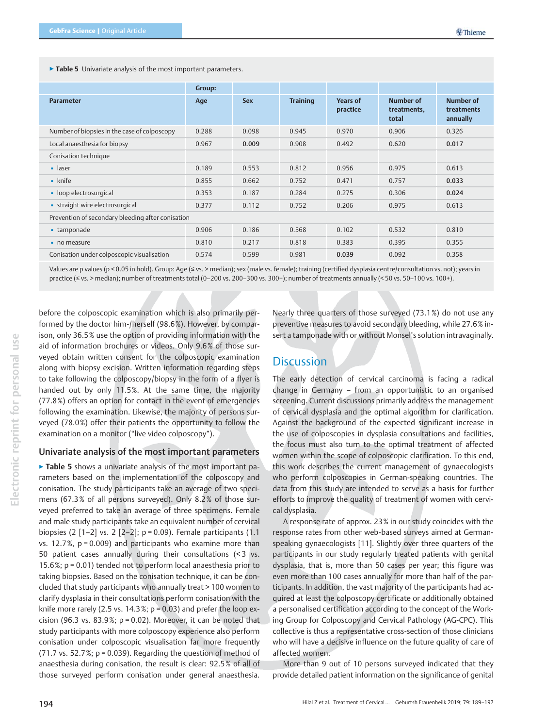▶ Table 5 Univariate analysis of the most important parameters.

|                                                   | Group: |            |                 |                             |                                          |                                            |
|---------------------------------------------------|--------|------------|-----------------|-----------------------------|------------------------------------------|--------------------------------------------|
| <b>Parameter</b>                                  | Age    | <b>Sex</b> | <b>Training</b> | <b>Years of</b><br>practice | <b>Number of</b><br>treatments,<br>total | <b>Number of</b><br>treatments<br>annually |
| Number of biopsies in the case of colposcopy      | 0.288  | 0.098      | 0.945           | 0.970                       | 0.906                                    | 0.326                                      |
| Local anaesthesia for biopsy                      | 0.967  | 0.009      | 0.908           | 0.492                       | 0.620                                    | 0.017                                      |
| Conisation technique                              |        |            |                 |                             |                                          |                                            |
| • laser                                           | 0.189  | 0.553      | 0.812           | 0.956                       | 0.975                                    | 0.613                                      |
| $\blacksquare$ knife                              | 0.855  | 0.662      | 0.752           | 0.471                       | 0.757                                    | 0.033                                      |
| • loop electrosurgical                            | 0.353  | 0.187      | 0.284           | 0.275                       | 0.306                                    | 0.024                                      |
| • straight wire electrosurgical                   | 0.377  | 0.112      | 0.752           | 0.206                       | 0.975                                    | 0.613                                      |
| Prevention of secondary bleeding after conisation |        |            |                 |                             |                                          |                                            |
| • tamponade                                       | 0.906  | 0.186      | 0.568           | 0.102                       | 0.532                                    | 0.810                                      |
| • no measure                                      | 0.810  | 0.217      | 0.818           | 0.383                       | 0.395                                    | 0.355                                      |
| Conisation under colposcopic visualisation        | 0.574  | 0.599      | 0.981           | 0.039                       | 0.092                                    | 0.358                                      |
|                                                   |        |            |                 |                             |                                          |                                            |

Values are p values (p < 0.05 in bold). Group: Age (≤ vs. > median); sex (male vs. female); training (certified dysplasia centre/consultation vs. not); years in practice (≤ vs. > median); number of treatments total (0-200 vs. 200-300 vs. 300+); number of treatments annually (< 50 vs. 50-100 vs. 100+).

before the colposcopic examination which is also primarily performed by the doctor him-/herself (98.6%). However, by comparison, only 36.5% use the option of providing information with the aid of information brochures or videos. Only 9.6% of those surveyed obtain written consent for the colposcopic examination along with biopsy excision. Written information regarding steps to take following the colposcopy/biopsy in the form of a flyer is handed out by only 11.5%. At the same time, the majority (77.8%) offers an option for contact in the event of emergencies following the examination. Likewise, the majority of persons surveyed (78.0%) offer their patients the opportunity to follow the examination on a monitor ("live video colposcopy").

### Univariate analysis of the most important parameters

▶ Table 5 shows a univariate analysis of the most important parameters based on the implementation of the colposcopy and conisation. The study participants take an average of two specimens (67.3% of all persons surveyed). Only 8.2% of those surveyed preferred to take an average of three specimens. Female and male study participants take an equivalent number of cervical biopsies (2 [1–2] vs. 2 [2–2]; p = 0.09). Female participants (1.1 vs. 12.7%,  $p = 0.009$ ) and participants who examine more than 50 patient cases annually during their consultations (< 3 vs. 15.6%; p = 0.01) tended not to perform local anaesthesia prior to taking biopsies. Based on the conisation technique, it can be concluded that study participants who annually treat > 100 women to clarify dysplasia in their consultations perform conisation with the knife more rarely (2.5 vs. 14.3%;  $p = 0.03$ ) and prefer the loop excision (96.3 vs. 83.9%;  $p = 0.02$ ). Moreover, it can be noted that study participants with more colposcopy experience also perform conisation under colposcopic visualisation far more frequently (71.7 vs. 52.7%;  $p = 0.039$ ). Regarding the question of method of anaesthesia during conisation, the result is clear: 92.5% of all of those surveyed perform conisation under general anaesthesia.

Nearly three quarters of those surveyed (73.1%) do not use any preventive measures to avoid secondary bleeding, while 27.6% insert a tamponade with or without Monsel's solution intravaginally.

### **Discussion**

The early detection of cervical carcinoma is facing a radical change in Germany – from an opportunistic to an organised screening. Current discussions primarily address the management of cervical dysplasia and the optimal algorithm for clarification. Against the background of the expected significant increase in the use of colposcopies in dysplasia consultations and facilities, the focus must also turn to the optimal treatment of affected women within the scope of colposcopic clarification. To this end, this work describes the current management of gynaecologists who perform colposcopies in German-speaking countries. The data from this study are intended to serve as a basis for further efforts to improve the quality of treatment of women with cervical dysplasia.

A response rate of approx. 23% in our study coincides with the response rates from other web-based surveys aimed at Germanspeaking gynaecologists [11]. Slightly over three quarters of the participants in our study regularly treated patients with genital dysplasia, that is, more than 50 cases per year; this figure was even more than 100 cases annually for more than half of the participants. In addition, the vast majority of the participants had acquired at least the colposcopy certificate or additionally obtained a personalised certification according to the concept of the Working Group for Colposcopy and Cervical Pathology (AG‑CPC). This collective is thus a representative cross-section of those clinicians who will have a decisive influence on the future quality of care of affected women.

More than 9 out of 10 persons surveyed indicated that they provide detailed patient information on the significance of genital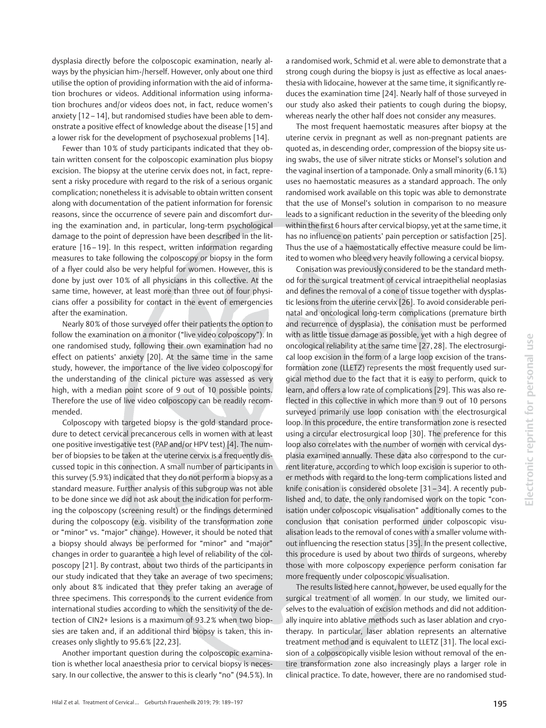dysplasia directly before the colposcopic examination, nearly always by the physician him-/herself. However, only about one third utilise the option of providing information with the aid of information brochures or videos. Additional information using information brochures and/or videos does not, in fact, reduce women's anxiety [12–14], but randomised studies have been able to demonstrate a positive effect of knowledge about the disease [15] and a lower risk for the development of psychosexual problems [14].

Fewer than 10% of study participants indicated that they obtain written consent for the colposcopic examination plus biopsy excision. The biopsy at the uterine cervix does not, in fact, represent a risky procedure with regard to the risk of a serious organic complication; nonetheless it is advisable to obtain written consent along with documentation of the patient information for forensic reasons, since the occurrence of severe pain and discomfort during the examination and, in particular, long-term psychological damage to the point of depression have been described in the literature [16 –19]. In this respect, written information regarding measures to take following the colposcopy or biopsy in the form of a flyer could also be very helpful for women. However, this is done by just over 10% of all physicians in this collective. At the same time, however, at least more than three out of four physicians offer a possibility for contact in the event of emergencies after the examination.

Nearly 80% of those surveyed offer their patients the option to follow the examination on a monitor ("live video colposcopy"). In one randomised study, following their own examination had no effect on patients' anxiety [20]. At the same time in the same study, however, the importance of the live video colposcopy for the understanding of the clinical picture was assessed as very high, with a median point score of 9 out of 10 possible points. Therefore the use of live video colposcopy can be readily recommended.

Colposcopy with targeted biopsy is the gold standard procedure to detect cervical precancerous cells in women with at least one positive investigative test (PAP and/or HPV test) [4]. The number of biopsies to be taken at the uterine cervix is a frequently discussed topic in this connection. A small number of participants in this survey (5.9%) indicated that they do not perform a biopsy as a standard measure. Further analysis of this subgroup was not able to be done since we did not ask about the indication for performing the colposcopy (screening result) or the findings determined during the colposcopy (e.g. visibility of the transformation zone or "minor" vs. "major" change). However, it should be noted that a biopsy should always be performed for "minor" and "major" changes in order to guarantee a high level of reliability of the colposcopy [21]. By contrast, about two thirds of the participants in our study indicated that they take an average of two specimens; only about 8% indicated that they prefer taking an average of three specimens. This corresponds to the current evidence from international studies according to which the sensitivity of the detection of CIN2+ lesions is a maximum of 93.2% when two biopsies are taken and, if an additional third biopsy is taken, this increases only slightly to 95.6% [22, 23].

Another important question during the colposcopic examination is whether local anaesthesia prior to cervical biopsy is necessary. In our collective, the answer to this is clearly "no" (94.5%). In a randomised work, Schmid et al. were able to demonstrate that a strong cough during the biopsy is just as effective as local anaesthesia with lidocaine, however at the same time, it significantly reduces the examination time [24]. Nearly half of those surveyed in our study also asked their patients to cough during the biopsy, whereas nearly the other half does not consider any measures.

The most frequent haemostatic measures after biopsy at the uterine cervix in pregnant as well as non-pregnant patients are quoted as, in descending order, compression of the biopsy site using swabs, the use of silver nitrate sticks or Monsel's solution and the vaginal insertion of a tamponade. Only a small minority (6.1%) uses no haemostatic measures as a standard approach. The only randomised work available on this topic was able to demonstrate that the use of Monsel's solution in comparison to no measure leads to a significant reduction in the severity of the bleeding only within the first 6 hours after cervical biopsy, yet at the same time, it has no influence on patients' pain perception or satisfaction [25]. Thus the use of a haemostatically effective measure could be limited to women who bleed very heavily following a cervical biopsy.

Conisation was previously considered to be the standard method for the surgical treatment of cervical intraepithelial neoplasias and defines the removal of a cone of tissue together with dysplastic lesions from the uterine cervix [26]. To avoid considerable perinatal and oncological long-term complications (premature birth and recurrence of dysplasia), the conisation must be performed with as little tissue damage as possible, yet with a high degree of oncological reliability at the same time [27, 28]. The electrosurgical loop excision in the form of a large loop excision of the transformation zone (LLETZ) represents the most frequently used surgical method due to the fact that it is easy to perform, quick to learn, and offers a low rate of complications [29]. This was also reflected in this collective in which more than 9 out of 10 persons surveyed primarily use loop conisation with the electrosurgical loop. In this procedure, the entire transformation zone is resected using a circular electrosurgical loop [30]. The preference for this loop also correlates with the number of women with cervical dysplasia examined annually. These data also correspond to the current literature, according to which loop excision is superior to other methods with regard to the long-term complications listed and knife conisation is considered obsolete [31-34]. A recently published and, to date, the only randomised work on the topic "conisation under colposcopic visualisation" additionally comes to the conclusion that conisation performed under colposcopic visualisation leads to the removal of cones with a smaller volume without influencing the resection status [35]. In the present collective, this procedure is used by about two thirds of surgeons, whereby those with more colposcopy experience perform conisation far more frequently under colposcopic visualisation.

The results listed here cannot, however, be used equally for the surgical treatment of all women. In our study, we limited ourselves to the evaluation of excision methods and did not additionally inquire into ablative methods such as laser ablation and cryotherapy. In particular, laser ablation represents an alternative treatment method and is equivalent to LLETZ [31]. The local excision of a colposcopically visible lesion without removal of the entire transformation zone also increasingly plays a larger role in clinical practice. To date, however, there are no randomised stud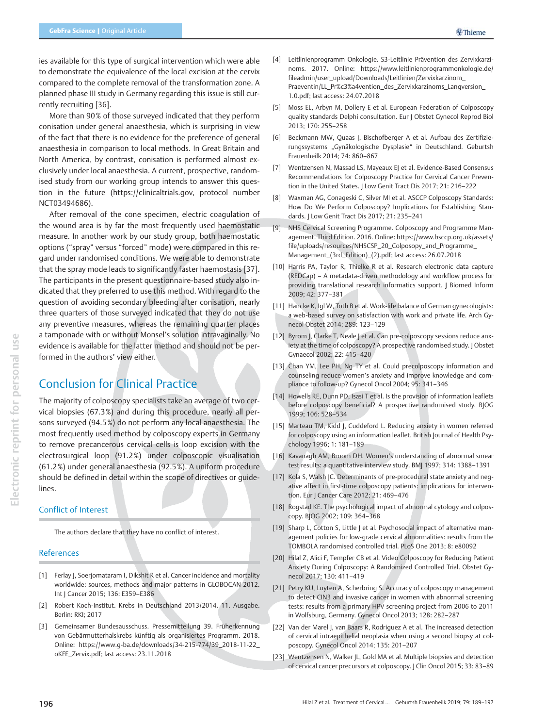ies available for this type of surgical intervention which were able to demonstrate the equivalence of the local excision at the cervix compared to the complete removal of the transformation zone. A planned phase III study in Germany regarding this issue is still currently recruiting [36].

More than 90% of those surveyed indicated that they perform conisation under general anaesthesia, which is surprising in view of the fact that there is no evidence for the preference of general anaesthesia in comparison to local methods. In Great Britain and North America, by contrast, conisation is performed almost exclusively under local anaesthesia. A current, prospective, randomised study from our working group intends to answer this question in the future (https://clinicaltrials.gov, protocol number NCT03494686).

After removal of the cone specimen, electric coagulation of the wound area is by far the most frequently used haemostatic measure. In another work by our study group, both haemostatic options ("spray" versus "forced" mode) were compared in this regard under randomised conditions. We were able to demonstrate that the spray mode leads to significantly faster haemostasis [37]. The participants in the present questionnaire-based study also indicated that they preferred to use this method. With regard to the question of avoiding secondary bleeding after conisation, nearly three quarters of those surveyed indicated that they do not use any preventive measures, whereas the remaining quarter places a tamponade with or without Monsel's solution intravaginally. No evidence is available for the latter method and should not be performed in the authors' view either.

## Conclusion for Clinical Practice

The majority of colposcopy specialists take an average of two cervical biopsies (67.3%) and during this procedure, nearly all persons surveyed (94.5%) do not perform any local anaesthesia. The most frequently used method by colposcopy experts in Germany to remove precancerous cervical cells is loop excision with the electrosurgical loop (91.2%) under colposcopic visualisation (61.2%) under general anaesthesia (92.5%). A uniform procedure should be defined in detail within the scope of directives or guidelines.

### Conflict of Interest

The authors declare that they have no conflict of interest.

### References

- [1] Ferlay J, Soerjomataram I, Dikshit R et al. Cancer incidence and mortality worldwide: sources, methods and major patterns in GLOBOCAN 2012. Int J Cancer 2015; 136: E359–E386
- [2] Robert Koch-Institut. Krebs in Deutschland 2013/2014. 11. Ausgabe. Berlin: RKI; 2017
- [3] Gemeinsamer Bundesausschuss. Pressemitteilung 39. Früherkennung von Gebärmutterhalskrebs künftig als organisiertes Programm. 2018. Online: https://www.g-ba.de/downloads/34-215-774/39\_2018-11-22\_ oKFE\_Zervix.pdf; last access: 23.11.2018
- [4] Leitlinienprogramm Onkologie. S3-Leitlinie Prävention des Zervixkarzinoms. 2017. Online: https://www.leitlinienprogrammonkologie.de/ fileadmin/user\_upload/Downloads/Leitlinien/Zervixkarzinom\_ Praeventin/LL\_Pr%c3%a4vention\_des\_Zervixkarzinoms\_Langversion\_ 1.0.pdf; last access: 24.07.2018
- [5] Moss EL, Arbyn M, Dollery E et al. European Federation of Colposcopy quality standards Delphi consultation. Eur J Obstet Gynecol Reprod Biol 2013; 170: 255–258
- [6] Beckmann MW, Quaas J, Bischofberger A et al. Aufbau des Zertifizierungssystems "Gynäkologische Dysplasie" in Deutschland. Geburtsh Frauenheilk 2014; 74: 860–867
- [7] Wentzensen N, Massad LS, Mayeaux EJ et al. Evidence-Based Consensus Recommendations for Colposcopy Practice for Cervical Cancer Prevention in the United States. J Low Genit Tract Dis 2017; 21: 216-222
- [8] Waxman AG, Conageski C, Silver MI et al. ASCCP Colposcopy Standards: How Do We Perform Colposcopy? Implications for Establishing Standards. J Low Genit Tract Dis 2017; 21: 235–241
- [9] NHS Cervical Screening Programme. Colposcopy and Programme Management. Third Edition. 2016. Online: https://www.bsccp.org.uk/assets/ file/uploads/resources/NHSCSP\_20\_Colposopy\_and\_Programme\_ Management\_(3rd\_Edition)\_(2).pdf; last access: 26.07.2018
- [10] Harris PA, Taylor R, Thielke R et al. Research electronic data capture (REDCap) – A metadata-driven methodology and workflow process for providing translational research informatics support. J Biomed Inform 2009; 42: 377–381
- [11] Hancke K, Igl W, Toth B et al. Work-life balance of German gynecologists: a web-based survey on satisfaction with work and private life. Arch Gynecol Obstet 2014; 289: 123–129
- [12] Byrom J, Clarke T, Neale J et al. Can pre-colposcopy sessions reduce anxiety at the time of colposcopy? A prospective randomised study. J Obstet Gynaecol 2002; 22: 415–420
- [13] Chan YM, Lee PH, Ng TY et al. Could precolposcopy information and counseling reduce women's anxiety and improve knowledge and compliance to follow-up? Gynecol Oncol 2004; 95: 341–346
- [14] Howells RE, Dunn PD, Isasi T et al. Is the provision of information leaflets before colposcopy beneficial? A prospective randomised study. BJOG 1999; 106: 528–534
- [15] Marteau TM, Kidd J, Cuddeford L. Reducing anxiety in women referred for colposcopy using an information leaflet. British Journal of Health Psychology 1996; 1: 181–189
- [16] Kavanagh AM, Broom DH. Women's understanding of abnormal smear test results: a quantitative interview study. BMJ 1997; 314: 1388–1391
- [17] Kola S, Walsh JC. Determinants of pre-procedural state anxiety and negative affect in first-time colposcopy patients: implications for intervention. Eur J Cancer Care 2012; 21: 469–476
- [18] Rogstad KE. The psychological impact of abnormal cytology and colposcopy. BJOG 2002; 109: 364–368
- [19] Sharp L, Cotton S, Little J et al. Psychosocial impact of alternative management policies for low-grade cervical abnormalities: results from the TOMBOLA randomised controlled trial. PLoS One 2013; 8: e80092
- [20] Hilal Z, Alici F, Tempfer CB et al. Video Colposcopy for Reducing Patient Anxiety During Colposcopy: A Randomized Controlled Trial. Obstet Gynecol 2017; 130: 411–419
- [21] Petry KU, Luyten A, Scherbring S. Accuracy of colposcopy management to detect CIN3 and invasive cancer in women with abnormal screening tests: results from a primary HPV screening project from 2006 to 2011 in Wolfsburg, Germany. Gynecol Oncol 2013; 128: 282–287
- [22] Van der Marel J, van Baars R, Rodriguez A et al. The increased detection of cervical intraepithelial neoplasia when using a second biopsy at colposcopy. Gynecol Oncol 2014; 135: 201–207
- [23] Wentzensen N, Walker JL, Gold MA et al. Multiple biopsies and detection of cervical cancer precursors at colposcopy. J Clin Oncol 2015; 33: 83–89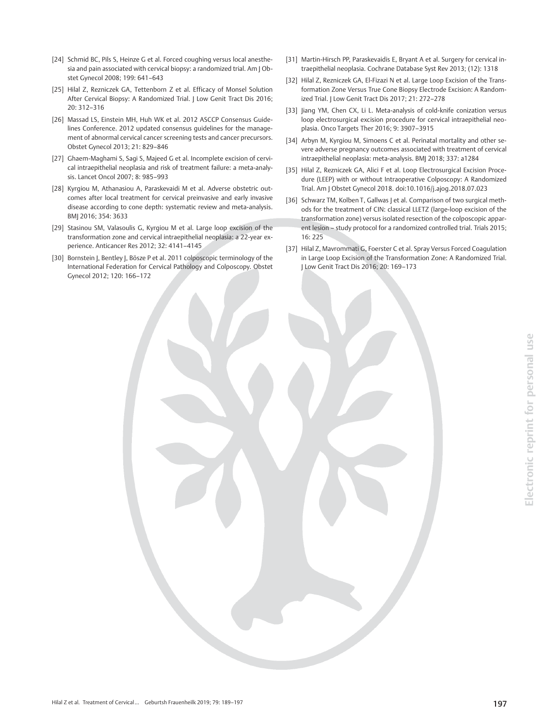- [24] Schmid BC, Pils S, Heinze G et al. Forced coughing versus local anesthesia and pain associated with cervical biopsy: a randomized trial. Am J Obstet Gynecol 2008; 199: 641–643
- [25] Hilal Z, Rezniczek GA, Tettenborn Z et al. Efficacy of Monsel Solution After Cervical Biopsy: A Randomized Trial. | Low Genit Tract Dis 2016; 20: 312–316
- [26] Massad LS, Einstein MH, Huh WK et al. 2012 ASCCP Consensus Guidelines Conference. 2012 updated consensus guidelines for the management of abnormal cervical cancer screening tests and cancer precursors. Obstet Gynecol 2013; 21: 829–846
- [27] Ghaem-Maghami S, Sagi S, Majeed G et al. Incomplete excision of cervical intraepithelial neoplasia and risk of treatment failure: a meta-analysis. Lancet Oncol 2007; 8: 985–993
- [28] Kyrgiou M, Athanasiou A, Paraskevaidi M et al. Adverse obstetric outcomes after local treatment for cervical preinvasive and early invasive disease according to cone depth: systematic review and meta-analysis. BMJ 2016; 354: 3633
- [29] Stasinou SM, Valasoulis G, Kyrgiou M et al. Large loop excision of the transformation zone and cervical intraepithelial neoplasia: a 22-year experience. Anticancer Res 2012; 32: 4141–4145
- [30] Bornstein J, Bentley J, Bösze P et al. 2011 colposcopic terminology of the International Federation for Cervical Pathology and Colposcopy. Obstet Gynecol 2012; 120: 166–172
- [31] Martin-Hirsch PP, Paraskevaidis E, Bryant A et al. Surgery for cervical intraepithelial neoplasia. Cochrane Database Syst Rev 2013; (12): 1318
- [32] Hilal Z, Rezniczek GA, El-Fizazi N et al. Large Loop Excision of the Transformation Zone Versus True Cone Biopsy Electrode Excision: A Randomized Trial. J Low Genit Tract Dis 2017; 21: 272–278
- [33] Jiang YM, Chen CX, Li L. Meta-analysis of cold-knife conization versus loop electrosurgical excision procedure for cervical intraepithelial neoplasia. Onco Targets Ther 2016; 9: 3907–3915
- [34] Arbyn M, Kyrgiou M, Simoens C et al. Perinatal mortality and other severe adverse pregnancy outcomes associated with treatment of cervical intraepithelial neoplasia: meta-analysis. BMJ 2018; 337: a1284
- [35] Hilal Z, Rezniczek GA, Alici F et al. Loop Electrosurgical Excision Procedure (LEEP) with or without Intraoperative Colposcopy: A Randomized Trial. Am J Obstet Gynecol 2018. doi:10.1016/j.ajog.2018.07.023
- [36] Schwarz TM, Kolben T, Gallwas J et al. Comparison of two surgical methods for the treatment of CIN: classical LLETZ (large-loop excision of the transformation zone) versus isolated resection of the colposcopic apparent lesion – study protocol for a randomized controlled trial. Trials 2015; 16: 225
- [37] Hilal Z, Mavrommati G, Foerster C et al. Spray Versus Forced Coagulation in Large Loop Excision of the Transformation Zone: A Randomized Trial. J Low Genit Tract Dis 2016; 20: 169–173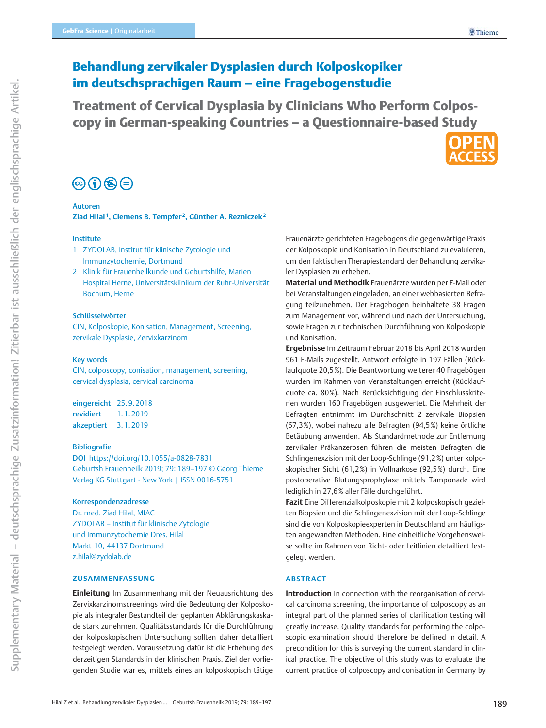## Behandlung zervikaler Dysplasien durch Kolposkopiker im deutschsprachigen Raum – eine Fragebogenstudie

Treatment of Cervical Dysplasia by Clinicians Who Perform Colposcopy in German-speaking Countries – a Questionnaire-based Study

## $\circledcirc$  (i)  $\circledcirc$   $\ominus$

### Autoren

Ziad Hilal<sup>1</sup>, Clemens B. Tempfer<sup>2</sup>, Günther A. Rezniczek<sup>2</sup>

### Institute

- 1 ZYDOLAB, Institut für klinische Zytologie und Immunzytochemie, Dortmund
- 2 Klinik für Frauenheilkunde und Geburtshilfe, Marien Hospital Herne, Universitätsklinikum der Ruhr-Universität Bochum, Herne

### Schlüsselwörter

CIN, Kolposkopie, Konisation, Management, Screening, zervikale Dysplasie, Zervixkarzinom

#### Key words

CIN, colposcopy, conisation, management, screening, cervical dysplasia, cervical carcinoma

eingereicht 25. 9. 2018 revidiert 1. 1. 2019 akzeptiert 3. 1. 2019

#### **Bibliografie**

DOI https://doi.org/10.1055/a-0828-7831 Geburtsh Frauenheilk 2019; 79: 189–197 © Georg Thieme Verlag KG Stuttgart · New York | ISSN 0016‑5751

### Korrespondenzadresse

Dr. med. Ziad Hilal, MIAC ZYDOLAB – Institut für klinische Zytologie und Immunzytochemie Dres. Hilal Markt 10, 44137 Dortmund z.hilal@zydolab.de

### ZUSAMMENFASSUNG

Einleitung Im Zusammenhang mit der Neuausrichtung des Zervixkarzinomscreenings wird die Bedeutung der Kolposkopie als integraler Bestandteil der geplanten Abklärungskaskade stark zunehmen. Qualitätsstandards für die Durchführung der kolposkopischen Untersuchung sollten daher detailliert festgelegt werden. Voraussetzung dafür ist die Erhebung des derzeitigen Standards in der klinischen Praxis. Ziel der vorliegenden Studie war es, mittels eines an kolposkopisch tätige Frauenärzte gerichteten Fragebogens die gegenwärtige Praxis der Kolposkopie und Konisation in Deutschland zu evaluieren, um den faktischen Therapiestandard der Behandlung zervikaler Dysplasien zu erheben.

Material und Methodik Frauenärzte wurden per E-Mail oder bei Veranstaltungen eingeladen, an einer webbasierten Befragung teilzunehmen. Der Fragebogen beinhaltete 38 Fragen zum Management vor, während und nach der Untersuchung, sowie Fragen zur technischen Durchführung von Kolposkopie und Konisation.

Ergebnisse Im Zeitraum Februar 2018 bis April 2018 wurden 961 E-Mails zugestellt. Antwort erfolgte in 197 Fällen (Rücklaufquote 20,5%). Die Beantwortung weiterer 40 Fragebögen wurden im Rahmen von Veranstaltungen erreicht (Rücklaufquote ca. 80%). Nach Berücksichtigung der Einschlusskriterien wurden 160 Fragebögen ausgewertet. Die Mehrheit der Befragten entnimmt im Durchschnitt 2 zervikale Biopsien (67,3%), wobei nahezu alle Befragten (94,5%) keine örtliche Betäubung anwenden. Als Standardmethode zur Entfernung zervikaler Präkanzerosen führen die meisten Befragten die Schlingenexzision mit der Loop-Schlinge (91,2%) unter kolposkopischer Sicht (61,2%) in Vollnarkose (92,5%) durch. Eine postoperative Blutungsprophylaxe mittels Tamponade wird lediglich in 27,6% aller Fälle durchgeführt.

Fazit Eine Differenzialkolposkopie mit 2 kolposkopisch gezielten Biopsien und die Schlingenexzision mit der Loop-Schlinge sind die von Kolposkopieexperten in Deutschland am häufigsten angewandten Methoden. Eine einheitliche Vorgehensweise sollte im Rahmen von Richt- oder Leitlinien detailliert festgelegt werden.

### ABSTRACT

Introduction In connection with the reorganisation of cervical carcinoma screening, the importance of colposcopy as an integral part of the planned series of clarification testing will greatly increase. Quality standards for performing the colposcopic examination should therefore be defined in detail. A precondition for this is surveying the current standard in clinical practice. The objective of this study was to evaluate the current practice of colposcopy and conisation in Germany by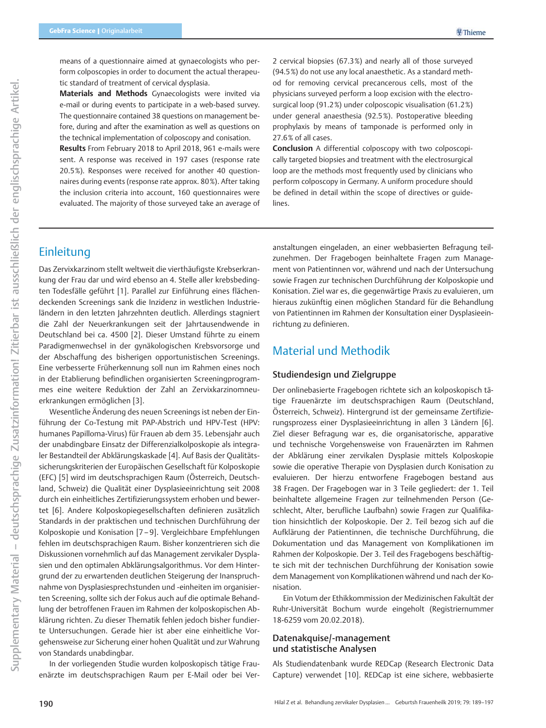means of a questionnaire aimed at gynaecologists who perform colposcopies in order to document the actual therapeutic standard of treatment of cervical dysplasia.

Materials and Methods Gynaecologists were invited via e-mail or during events to participate in a web-based survey. The questionnaire contained 38 questions on management before, during and after the examination as well as questions on the technical implementation of colposcopy and conisation.

Results From February 2018 to April 2018, 961 e-mails were sent. A response was received in 197 cases (response rate 20.5%). Responses were received for another 40 questionnaires during events (response rate approx. 80%). After taking the inclusion criteria into account, 160 questionnaires were evaluated. The majority of those surveyed take an average of

2 cervical biopsies (67.3%) and nearly all of those surveyed (94.5%) do not use any local anaesthetic. As a standard method for removing cervical precancerous cells, most of the physicians surveyed perform a loop excision with the electrosurgical loop (91.2%) under colposcopic visualisation (61.2%) under general anaesthesia (92.5%). Postoperative bleeding prophylaxis by means of tamponade is performed only in 27.6% of all cases.

Conclusion A differential colposcopy with two colposcopically targeted biopsies and treatment with the electrosurgical loop are the methods most frequently used by clinicians who perform colposcopy in Germany. A uniform procedure should be defined in detail within the scope of directives or guidelines.

## **Einleitung**

Das Zervixkarzinom stellt weltweit die vierthäufigste Krebserkrankung der Frau dar und wird ebenso an 4. Stelle aller krebsbedingten Todesfälle geführt [1]. Parallel zur Einführung eines flächendeckenden Screenings sank die Inzidenz in westlichen Industrieländern in den letzten Jahrzehnten deutlich. Allerdings stagniert die Zahl der Neuerkrankungen seit der Jahrtausendwende in Deutschland bei ca. 4500 [2]. Dieser Umstand führte zu einem Paradigmenwechsel in der gynäkologischen Krebsvorsorge und der Abschaffung des bisherigen opportunistischen Screenings. Eine verbesserte Früherkennung soll nun im Rahmen eines noch in der Etablierung befindlichen organisierten Screeningprogrammes eine weitere Reduktion der Zahl an Zervixkarzinomneuerkrankungen ermöglichen [3].

Wesentliche Änderung des neuen Screenings ist neben der Einführung der Co-Testung mit PAP-Abstrich und HPV-Test (HPV: humanes Papilloma-Virus) für Frauen ab dem 35. Lebensjahr auch der unabdingbare Einsatz der Differenzialkolposkopie als integraler Bestandteil der Abklärungskaskade [4]. Auf Basis der Qualitätssicherungskriterien der Europäischen Gesellschaft für Kolposkopie (EFC) [5] wird im deutschsprachigen Raum (Österreich, Deutschland, Schweiz) die Qualität einer Dysplasieeinrichtung seit 2008 durch ein einheitliches Zertifizierungssystem erhoben und bewertet [6]. Andere Kolposkopiegesellschaften definieren zusätzlich Standards in der praktischen und technischen Durchführung der Kolposkopie und Konisation [7–9]. Vergleichbare Empfehlungen fehlen im deutschsprachigen Raum. Bisher konzentrieren sich die Diskussionen vornehmlich auf das Management zervikaler Dysplasien und den optimalen Abklärungsalgorithmus. Vor dem Hintergrund der zu erwartenden deutlichen Steigerung der Inanspruchnahme von Dysplasiesprechstunden und ‑einheiten im organisierten Screening, sollte sich der Fokus auch auf die optimale Behandlung der betroffenen Frauen im Rahmen der kolposkopischen Abklärung richten. Zu dieser Thematik fehlen jedoch bisher fundierte Untersuchungen. Gerade hier ist aber eine einheitliche Vorgehensweise zur Sicherung einer hohen Qualität und zur Wahrung von Standards unabdingbar.

In der vorliegenden Studie wurden kolposkopisch tätige Frauenärzte im deutschsprachigen Raum per E-Mail oder bei Ver-

anstaltungen eingeladen, an einer webbasierten Befragung teilzunehmen. Der Fragebogen beinhaltete Fragen zum Management von Patientinnen vor, während und nach der Untersuchung sowie Fragen zur technischen Durchführung der Kolposkopie und Konisation. Ziel war es, die gegenwärtige Praxis zu evaluieren, um hieraus zukünftig einen möglichen Standard für die Behandlung von Patientinnen im Rahmen der Konsultation einer Dysplasieeinrichtung zu definieren.

## Material und Methodik

### Studiendesign und Zielgruppe

Der onlinebasierte Fragebogen richtete sich an kolposkopisch tätige Frauenärzte im deutschsprachigen Raum (Deutschland, Österreich, Schweiz). Hintergrund ist der gemeinsame Zertifizierungsprozess einer Dysplasieeinrichtung in allen 3 Ländern [6]. Ziel dieser Befragung war es, die organisatorische, apparative und technische Vorgehensweise von Frauenärzten im Rahmen der Abklärung einer zervikalen Dysplasie mittels Kolposkopie sowie die operative Therapie von Dysplasien durch Konisation zu evaluieren. Der hierzu entworfene Fragebogen bestand aus 38 Fragen. Der Fragebogen war in 3 Teile gegliedert: der 1. Teil beinhaltete allgemeine Fragen zur teilnehmenden Person (Geschlecht, Alter, berufliche Laufbahn) sowie Fragen zur Qualifikation hinsichtlich der Kolposkopie. Der 2. Teil bezog sich auf die Aufklärung der Patientinnen, die technische Durchführung, die Dokumentation und das Management von Komplikationen im Rahmen der Kolposkopie. Der 3. Teil des Fragebogens beschäftigte sich mit der technischen Durchführung der Konisation sowie dem Management von Komplikationen während und nach der Konisation.

Ein Votum der Ethikkommission der Medizinischen Fakultät der Ruhr-Universität Bochum wurde eingeholt (Registriernummer 18‑6259 vom 20.02.2018).

### Datenakquise/-management und statistische Analysen

Als Studiendatenbank wurde REDCap (Research Electronic Data Capture) verwendet [10]. REDCap ist eine sichere, webbasierte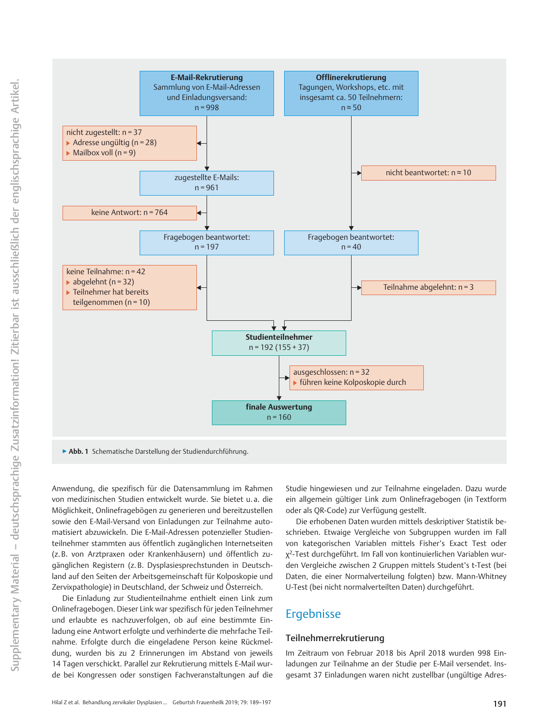

▶ Abb. 1 Schematische Darstellung der Studiendurchführung.

Anwendung, die spezifisch für die Datensammlung im Rahmen von medizinischen Studien entwickelt wurde. Sie bietet u. a. die Möglichkeit, Onlinefragebögen zu generieren und bereitzustellen sowie den E-Mail-Versand von Einladungen zur Teilnahme automatisiert abzuwickeln. Die E-Mail-Adressen potenzieller Studienteilnehmer stammten aus öffentlich zugänglichen Internetseiten (z. B. von Arztpraxen oder Krankenhäusern) und öffentlich zugänglichen Registern (z. B. Dysplasiesprechstunden in Deutschland auf den Seiten der Arbeitsgemeinschaft für Kolposkopie und Zervixpathologie) in Deutschland, der Schweiz und Österreich.

Die Einladung zur Studienteilnahme enthielt einen Link zum Onlinefragebogen. Dieser Link war spezifisch für jeden Teilnehmer und erlaubte es nachzuverfolgen, ob auf eine bestimmte Einladung eine Antwort erfolgte und verhinderte die mehrfache Teilnahme. Erfolgte durch die eingeladene Person keine Rückmeldung, wurden bis zu 2 Erinnerungen im Abstand von jeweils 14 Tagen verschickt. Parallel zur Rekrutierung mittels E-Mail wurde bei Kongressen oder sonstigen Fachveranstaltungen auf die

Studie hingewiesen und zur Teilnahme eingeladen. Dazu wurde ein allgemein gültiger Link zum Onlinefragebogen (in Textform oder als QR-Code) zur Verfügung gestellt.

Die erhobenen Daten wurden mittels deskriptiver Statistik beschrieben. Etwaige Vergleiche von Subgruppen wurden im Fall von kategorischen Variablen mittels Fisher's Exact Test oder χ2‑Test durchgeführt. Im Fall von kontinuierlichen Variablen wurden Vergleiche zwischen 2 Gruppen mittels Student's t-Test (bei Daten, die einer Normalverteilung folgten) bzw. Mann-Whitney U-Test (bei nicht normalverteilten Daten) durchgeführt.

## Ergebnisse

### Teilnehmerrekrutierung

Im Zeitraum von Februar 2018 bis April 2018 wurden 998 Einladungen zur Teilnahme an der Studie per E-Mail versendet. Insgesamt 37 Einladungen waren nicht zustellbar (ungültige Adres-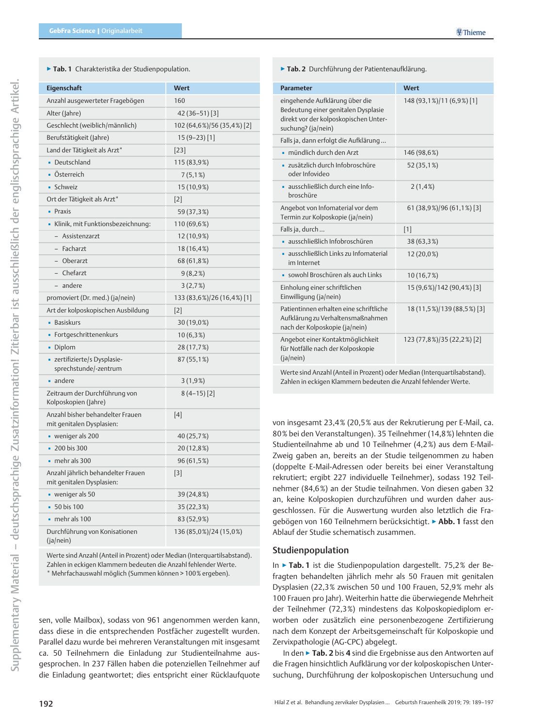| <b>Tab.</b> Characteristika aci stadicripopulation. |                            |  |  |  |
|-----------------------------------------------------|----------------------------|--|--|--|
| Eigenschaft                                         | <b>Wert</b>                |  |  |  |
| Anzahl ausgewerteter Fragebögen                     | 160                        |  |  |  |
| Alter (Jahre)                                       | $42(36-51)[3]$             |  |  |  |
| Geschlecht (weiblich/männlich)                      | 102 (64,6%)/56 (35,4%) [2] |  |  |  |
| Berufstätigkeit (Jahre)                             | $15(9-23)[1]$              |  |  |  |
| Land der Tätigkeit als Arzt*                        | $[23]$                     |  |  |  |
| • Deutschland                                       | 115 (83,9%)                |  |  |  |
| • Österreich                                        | 7(5,1%)                    |  |  |  |
| • Schweiz                                           | 15 (10,9%)                 |  |  |  |
| Ort der Tätigkeit als Arzt*                         | $[2]$                      |  |  |  |
| Praxis                                              | 59 (37,3%)                 |  |  |  |
| Klinik, mit Funktionsbezeichnung:                   | 110 (69,6%)                |  |  |  |
| - Assistenzarzt                                     | 12 (10,9%)                 |  |  |  |
| - Facharzt                                          | 18 (16,4%)                 |  |  |  |
| Oberarzt                                            | 68 (61,8%)                 |  |  |  |

▶ Tab. 1 Charakteristika der Studienpopulation.

| • Deutschland                                                   | 115 (83,9%)                |
|-----------------------------------------------------------------|----------------------------|
| • Österreich                                                    | 7(5,1%)                    |
| • Schweiz                                                       | 15 (10,9%)                 |
| Ort der Tätigkeit als Arzt*                                     | $[2]$                      |
| $-$ Praxis                                                      | 59 (37,3%)                 |
| Klinik, mit Funktionsbezeichnung:                               | 110 (69,6%)                |
| Assistenzarzt                                                   | 12 (10,9%)                 |
| Facharzt                                                        | 18 (16,4%)                 |
| - Oberarzt                                                      | 68 (61,8%)                 |
| - Chefarzt                                                      | 9(8,2%)                    |
| - andere                                                        | 3(2,7%)                    |
| promoviert (Dr. med.) (ja/nein)                                 | 133 (83,6%)/26 (16,4%) [1] |
| Art der kolposkopischen Ausbildung                              | $\lceil 2 \rceil$          |
| • Basiskurs                                                     | 30 (19,0%)                 |
| • Fortgeschrittenenkurs                                         | $10(6,3\%)$                |
| • Diplom                                                        | 28 (17,7%)                 |
| - zertifizierte/s Dysplasie-<br>sprechstunde/-zentrum           | 87 (55,1%)                 |
| $\blacksquare$ andere                                           | 3(1,9%)                    |
| Zeitraum der Durchführung von<br>Kolposkopien (Jahre)           | $8(4-15)[2]$               |
| Anzahl bisher behandelter Frauen<br>mit genitalen Dysplasien:   | [4]                        |
| • weniger als 200                                               | 40 (25,7%)                 |
| $-200$ bis 300                                                  | 20 (12,8%)                 |
| - mehr als 300                                                  | 96 (61,5%)                 |
| Anzahl jährlich behandelter Frauen<br>mit genitalen Dysplasien: | $[3]$                      |
| $\bullet$ weniger als 50                                        | 39 (24,8%)                 |
| • 50 bis 100                                                    | 35 (22,3%)                 |
| $\blacksquare$ mehr als 100                                     | 83 (52,9%)                 |
| Durchführung von Konisationen<br>(ia/nein)                      | 136 (85,0%)/24 (15,0%)     |

Werte sind Anzahl (Anteil in Prozent) oder Median (Interquartilsabstand). Zahlen in eckigen Klammern bedeuten die Anzahl fehlender Werte. \* Mehrfachauswahl möglich (Summen können > 100% ergeben).

sen, volle Mailbox), sodass von 961 angenommen werden kann, dass diese in die entsprechenden Postfächer zugestellt wurden. Parallel dazu wurde bei mehreren Veranstaltungen mit insgesamt ca. 50 Teilnehmern die Einladung zur Studienteilnahme ausgesprochen. In 237 Fällen haben die potenziellen Teilnehmer auf die Einladung geantwortet; dies entspricht einer Rücklaufquote

▶ Tab. 2 Durchführung der Patientenaufklärung.

| <b>Parameter</b>                                                                                                                     | <b>Wert</b>                |
|--------------------------------------------------------------------------------------------------------------------------------------|----------------------------|
| eingehende Aufklärung über die<br>Bedeutung einer genitalen Dysplasie<br>direkt vor der kolposkopischen Unter-<br>suchung? (ja/nein) | 148 (93,1%)/11 (6,9%) [1]  |
| Falls ja, dann erfolgt die Aufklärung                                                                                                |                            |
| · mündlich durch den Arzt                                                                                                            | 146 (98,6%)                |
| • zusätzlich durch Infobroschüre<br>oder Infovideo                                                                                   | 52 (35,1%)                 |
| ausschließlich durch eine Info-<br>broschüre                                                                                         | $2(1,4\%)$                 |
| Angebot von Infomaterial vor dem<br>Termin zur Kolposkopie (ja/nein)                                                                 | 61 (38,9%)/96 (61,1%) [3]  |
| Falls ja, durch                                                                                                                      | [1]                        |
| · ausschließlich Infobroschüren                                                                                                      | 38 (63,3%)                 |
| ausschließlich Links zu Infomaterial<br>im Internet                                                                                  | 12 (20,0%)                 |
| sowohl Broschüren als auch Links                                                                                                     | 10 (16,7%)                 |
| Einholung einer schriftlichen<br>Einwilligung (ja/nein)                                                                              | 15 (9,6%)/142 (90,4%) [3]  |
| Patientinnen erhalten eine schriftliche<br>Aufklärung zu Verhaltensmaßnahmen<br>nach der Kolposkopie (ja/nein)                       | 18 (11,5%)/139 (88,5%) [3] |
| Angebot einer Kontaktmöglichkeit<br>für Notfälle nach der Kolposkopie<br>(ia/nein)                                                   | 123 (77,8%)/35 (22,2%) [2] |

Werte sind Anzahl (Anteil in Prozent) oder Median (Interquartilsabstand). Zahlen in eckigen Klammern bedeuten die Anzahl fehlender Werte.

von insgesamt 23,4% (20,5% aus der Rekrutierung per E-Mail, ca. 80% bei den Veranstaltungen). 35 Teilnehmer (14,8%) lehnten die Studienteilnahme ab und 10 Teilnehmer (4,2%) aus dem E-Mail-Zweig gaben an, bereits an der Studie teilgenommen zu haben (doppelte E-Mail-Adressen oder bereits bei einer Veranstaltung rekrutiert; ergibt 227 individuelle Teilnehmer), sodass 192 Teilnehmer (84,6%) an der Studie teilnahmen. Von diesen gaben 32 an, keine Kolposkopien durchzuführen und wurden daher ausgeschlossen. Für die Auswertung wurden also letztlich die Fragebögen von 160 Teilnehmern berücksichtigt. ▶ Abb. 1 fasst den Ablauf der Studie schematisch zusammen.

### Studienpopulation

In ▶ Tab. 1 ist die Studienpopulation dargestellt. 75,2% der Befragten behandelten jährlich mehr als 50 Frauen mit genitalen Dysplasien (22,3% zwischen 50 und 100 Frauen, 52,9% mehr als 100 Frauen pro Jahr). Weiterhin hatte die überwiegende Mehrheit der Teilnehmer (72,3%) mindestens das Kolposkopiediplom erworben oder zusätzlich eine personenbezogene Zertifizierung nach dem Konzept der Arbeitsgemeinschaft für Kolposkopie und Zervixpathologie (AG‑CPC) abgelegt.

In den ► Tab. 2 bis 4 sind die Ergebnisse aus den Antworten auf die Fragen hinsichtlich Aufklärung vor der kolposkopischen Untersuchung, Durchführung der kolposkopischen Untersuchung und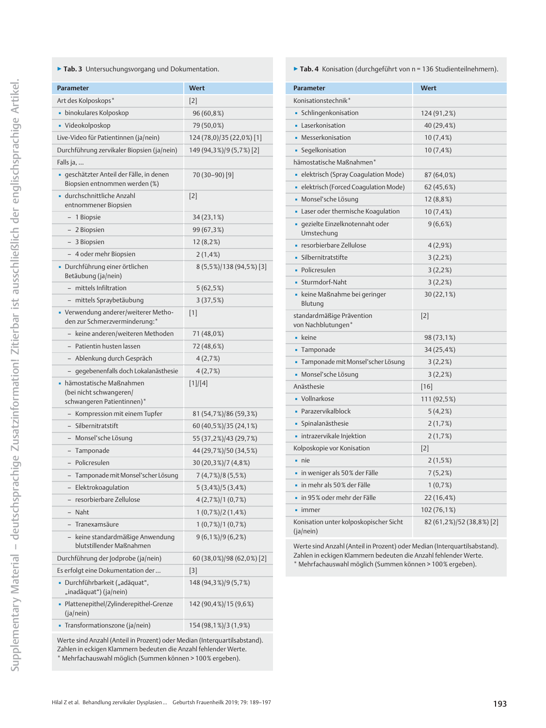|                                                                                  | Wert                      |  |  |  |
|----------------------------------------------------------------------------------|---------------------------|--|--|--|
| <b>Parameter</b>                                                                 |                           |  |  |  |
| Art des Kolposkops*                                                              | $\lceil 2 \rceil$         |  |  |  |
| • binokulares Kolposkop                                                          | 96 (60,8%)                |  |  |  |
| • Videokolposkop                                                                 | 79 (50,0%)                |  |  |  |
| Live-Video für Patientinnen (ja/nein)                                            | 124 (78,0)/35 (22,0%) [1] |  |  |  |
| Durchführung zervikaler Biopsien (ja/nein)                                       | 149 (94,3%)/9 (5,7%) [2]  |  |  |  |
| Falls ja,                                                                        |                           |  |  |  |
| · geschätzter Anteil der Fälle, in denen<br>Biopsien entnommen werden (%)        | 70 (30–90) [9]            |  |  |  |
| · durchschnittliche Anzahl<br>entnommener Biopsien                               | $\lceil 2 \rceil$         |  |  |  |
| - 1 Biopsie                                                                      | 34 (23,1%)                |  |  |  |
| - 2 Biopsien                                                                     | 99 (67,3%)                |  |  |  |
| - 3 Biopsien                                                                     | 12 (8,2%)                 |  |  |  |
| - 4 oder mehr Biopsien                                                           | $2(1,4\%)$                |  |  |  |
| • Durchführung einer örtlichen<br>Betäubung (ja/nein)                            | 8 (5,5%)/138 (94,5%) [3]  |  |  |  |
| - mittels Infiltration                                                           | $5(62,5\%)$               |  |  |  |
| – mittels Spraybetäubung                                                         | 3(37,5%)                  |  |  |  |
| • Verwendung anderer/weiterer Metho-<br>den zur Schmerzverminderung:*            | $\lceil 1 \rceil$         |  |  |  |
| keine anderen/weiteren Methoden                                                  | 71 (48,0%)                |  |  |  |
| - Patientin husten lassen                                                        | 72 (48,6%)                |  |  |  |
| – Ablenkung durch Gespräch                                                       | 4(2,7%)                   |  |  |  |
| - gegebenenfalls doch Lokalanästhesie                                            | 4 (2,7%)                  |  |  |  |
| hämostatische Maßnahmen<br>(bei nicht schwangeren/<br>schwangeren Patientinnen)* | [1]/[4]                   |  |  |  |
| - Kompression mit einem Tupfer                                                   | 81 (54,7%)/86 (59,3%)     |  |  |  |
| - Silbernitratstift                                                              | 60 (40,5%)/35 (24,1%)     |  |  |  |
| – Monsel'sche Lösung                                                             | 55 (37,2%)/43 (29,7%)     |  |  |  |
| - Tamponade                                                                      | 44 (29,7%)/50 (34,5%)     |  |  |  |
| - Policresulen                                                                   | 30 (20,3%)/7 (4,8%)       |  |  |  |
| – Tamponade mit Monsel'scher Lösung                                              | 7 (4,7%)/8 (5,5%)         |  |  |  |
| Elektrokoagulation                                                               | $5(3,4\%)$ (3,4%)         |  |  |  |
| resorbierbare Zellulose                                                          | 4(2,7%)/1(0,7%)           |  |  |  |
| - Naht                                                                           | $1(0,7\%)/2(1,4\%)$       |  |  |  |
| - Tranexamsäure                                                                  | $1(0,7\%)/1(0,7\%)$       |  |  |  |
| - keine standardmäßige Anwendung<br>blutstillender Maßnahmen                     | $9(6,1\%)$ (6,2%)         |  |  |  |
| Durchführung der Jodprobe (ja/nein)                                              | 60 (38,0%)/98 (62,0%) [2] |  |  |  |
| Es erfolgt eine Dokumentation der                                                | $[3]$                     |  |  |  |
| · Durchführbarkeit ("adäquat",<br>"inadäquat") (ja/nein)                         | 148 (94,3%)/9 (5,7%)      |  |  |  |
| - Plattenepithel/Zylinderepithel-Grenze<br>(ja/nein)                             | 142 (90,4%)/15 (9,6%)     |  |  |  |
| • Transformationszone (ja/nein)                                                  | 154 (98,1%)/3 (1,9%)      |  |  |  |

Werte sind Anzahl (Anteil in Prozent) oder Median (Interquartilsabstand). Zahlen in eckigen Klammern bedeuten die Anzahl fehlender Werte. \* Mehrfachauswahl möglich (Summen können > 100% ergeben).

▶ Tab. 4 Konisation (durchgeführt von n = 136 Studienteilnehmern).

| <b>Parameter</b>                                    | Wert                      |
|-----------------------------------------------------|---------------------------|
| Konisationstechnik*                                 |                           |
| • Schlingenkonisation                               | 124 (91,2%)               |
| • Laserkonisation                                   | 40 (29,4%)                |
| • Messerkonisation                                  | $10(7, 4\%)$              |
| • Segelkonisation                                   | $10(7, 4\%)$              |
| hämostatische Maßnahmen*                            |                           |
| · elektrisch (Spray Coagulation Mode)               | 87 (64,0%)                |
| · elektrisch (Forced Coagulation Mode)              | 62 (45,6%)                |
| • Monsel'sche Lösung                                | 12(8,8%)                  |
| · Laser oder thermische Koagulation                 | $10(7, 4\%)$              |
| • gezielte Einzelknotennaht oder<br>Umstechung      | 9(6,6%)                   |
| • resorbierbare Zellulose                           | 4(2,9%)                   |
| • Silbernitratstifte                                | 3(2,2%)                   |
| • Policresulen                                      | 3(2,2%)                   |
| • Sturmdorf-Naht                                    | 3(2,2%)                   |
| - keine Maßnahme bei geringer<br>Blutung            | 30 (22,1%)                |
| standardmäßige Prävention<br>von Nachblutungen*     | $[2]$                     |
| • keine                                             | 98 (73,1%)                |
| • Tamponade                                         | 34 (25,4%)                |
| · Tamponade mit Monsel'scher Lösung                 | 3(2,2%)                   |
| • Monsel'sche Lösung                                | 3(2,2%)                   |
| Anästhesie                                          | $[16]$                    |
| • Vollnarkose                                       | 111 (92,5%)               |
| · Parazervikalblock                                 | 5(4,2%)                   |
| • Spinalanästhesie                                  | 2(1,7%)                   |
| · intrazervikale Injektion                          | 2(1,7%)                   |
| Kolposkopie vor Konisation                          | $\lceil 2 \rceil$         |
| • nie                                               | $2(1,5\%)$                |
| . in weniger als 50% der Fälle                      | 7(5,2%)                   |
| · in mehr als 50% der Fälle                         | $1(0,7\%)$                |
| · in 95% oder mehr der Fälle                        | 22 (16,4%)                |
| $\blacksquare$ immer                                | 102 (76,1%)               |
| Konisation unter kolposkopischer Sicht<br>(ja/nein) | 82 (61,2%)/52 (38,8%) [2] |

Werte sind Anzahl (Anteil in Prozent) oder Median (Interquartilsabstand). Zahlen in eckigen Klammern bedeuten die Anzahl fehlender Werte. \* Mehrfachauswahl möglich (Summen können > 100% ergeben).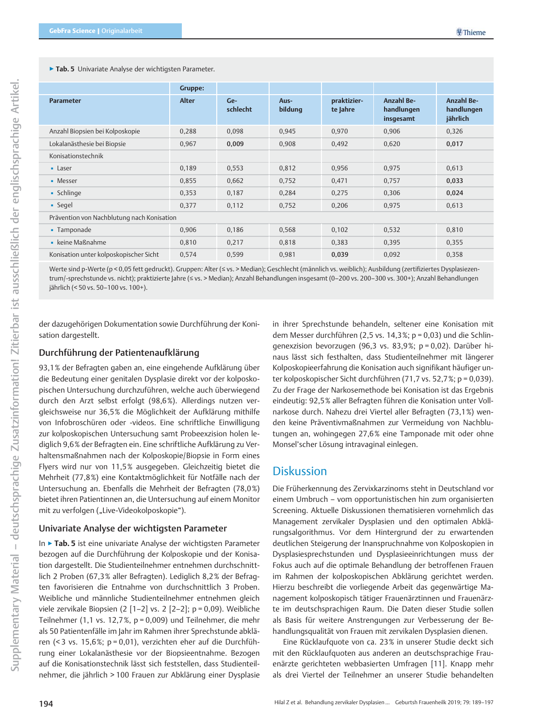### ▶ Tab. 5 Univariate Analyse der wichtigsten Parameter.

|                                            | <b>Gruppe:</b> |                 |                 |                         |                                              |                                             |
|--------------------------------------------|----------------|-----------------|-----------------|-------------------------|----------------------------------------------|---------------------------------------------|
| <b>Parameter</b>                           | <b>Alter</b>   | Ge-<br>schlecht | Aus-<br>bildung | praktizier-<br>te Jahre | <b>Anzahl Be-</b><br>handlungen<br>insgesamt | <b>Anzahl Be-</b><br>handlungen<br>jährlich |
| Anzahl Biopsien bei Kolposkopie            | 0,288          | 0,098           | 0,945           | 0,970                   | 0,906                                        | 0,326                                       |
| Lokalanästhesie bei Biopsie                | 0,967          | 0,009           | 0,908           | 0,492                   | 0,620                                        | 0,017                                       |
| Konisationstechnik                         |                |                 |                 |                         |                                              |                                             |
| $\blacksquare$ Laser                       | 0,189          | 0,553           | 0,812           | 0,956                   | 0,975                                        | 0,613                                       |
| • Messer                                   | 0,855          | 0,662           | 0,752           | 0,471                   | 0,757                                        | 0,033                                       |
| • Schlinge                                 | 0,353          | 0,187           | 0,284           | 0,275                   | 0,306                                        | 0,024                                       |
| · Segel                                    | 0.377          | 0.112           | 0.752           | 0,206                   | 0,975                                        | 0,613                                       |
| Prävention von Nachblutung nach Konisation |                |                 |                 |                         |                                              |                                             |
| • Tamponade                                | 0,906          | 0,186           | 0,568           | 0,102                   | 0,532                                        | 0,810                                       |
| $\blacksquare$ keine Maßnahme              | 0,810          | 0,217           | 0,818           | 0,383                   | 0,395                                        | 0,355                                       |
| Konisation unter kolposkopischer Sicht     | 0.574          | 0,599           | 0.981           | 0,039                   | 0.092                                        | 0,358                                       |

Werte sind p-Werte (p < 0,05 fett gedruckt). Gruppen: Alter (≤ vs. > Median); Geschlecht (männlich vs. weiblich); Ausbildung (zertifiziertes Dysplasiezentrum/-sprechstunde vs. nicht); praktizierte Jahre (≤ vs. > Median); Anzahl Behandlungen insgesamt (0–200 vs. 200–300 vs. 300+); Anzahl Behandlungen jährlich (< 50 vs. 50–100 vs. 100+).

der dazugehörigen Dokumentation sowie Durchführung der Konisation dargestellt.

## Durchführung der Patientenaufklärung

93,1% der Befragten gaben an, eine eingehende Aufklärung über die Bedeutung einer genitalen Dysplasie direkt vor der kolposkopischen Untersuchung durchzuführen, welche auch überwiegend durch den Arzt selbst erfolgt (98,6%). Allerdings nutzen vergleichsweise nur 36,5% die Möglichkeit der Aufklärung mithilfe von Infobroschüren oder ‑videos. Eine schriftliche Einwilligung zur kolposkopischen Untersuchung samt Probeexzision holen lediglich 9,6% der Befragten ein. Eine schriftliche Aufklärung zu Verhaltensmaßnahmen nach der Kolposkopie/Biopsie in Form eines Flyers wird nur von 11,5% ausgegeben. Gleichzeitig bietet die Mehrheit (77,8%) eine Kontaktmöglichkeit für Notfälle nach der Untersuchung an. Ebenfalls die Mehrheit der Befragten (78,0%) bietet ihren Patientinnen an, die Untersuchung auf einem Monitor mit zu verfolgen ("Live-Videokolposkopie").

### Univariate Analyse der wichtigsten Parameter

In ▶ Tab. 5 ist eine univariate Analyse der wichtigsten Parameter bezogen auf die Durchführung der Kolposkopie und der Konisation dargestellt. Die Studienteilnehmer entnehmen durchschnittlich 2 Proben (67,3% aller Befragten). Lediglich 8,2% der Befragten favorisieren die Entnahme von durchschnittlich 3 Proben. Weibliche und männliche Studienteilnehmer entnehmen gleich viele zervikale Biopsien (2 [1–2] vs. 2 [2–2]; p = 0,09). Weibliche Teilnehmer (1,1 vs. 12,7%, p = 0,009) und Teilnehmer, die mehr als 50 Patientenfälle im Jahr im Rahmen ihrer Sprechstunde abklären (< 3 vs. 15,6%; p = 0,01), verzichten eher auf die Durchführung einer Lokalanästhesie vor der Biopsieentnahme. Bezogen auf die Konisationstechnik lässt sich feststellen, dass Studienteilnehmer, die jährlich > 100 Frauen zur Abklärung einer Dysplasie

in ihrer Sprechstunde behandeln, seltener eine Konisation mit dem Messer durchführen (2,5 vs. 14,3%; p = 0,03) und die Schlingenexzision bevorzugen (96,3 vs. 83,9%; p = 0,02). Darüber hinaus lässt sich festhalten, dass Studienteilnehmer mit längerer Kolposkopieerfahrung die Konisation auch signifikant häufiger unter kolposkopischer Sicht durchführen (71,7 vs. 52,7%; p = 0,039). Zu der Frage der Narkosemethode bei Konisation ist das Ergebnis eindeutig: 92,5% aller Befragten führen die Konisation unter Vollnarkose durch. Nahezu drei Viertel aller Befragten (73,1%) wenden keine Präventivmaßnahmen zur Vermeidung von Nachblutungen an, wohingegen 27,6% eine Tamponade mit oder ohne Monsel'scher Lösung intravaginal einlegen.

## **Diskussion**

Die Früherkennung des Zervixkarzinoms steht in Deutschland vor einem Umbruch – vom opportunistischen hin zum organisierten Screening. Aktuelle Diskussionen thematisieren vornehmlich das Management zervikaler Dysplasien und den optimalen Abklärungsalgorithmus. Vor dem Hintergrund der zu erwartenden deutlichen Steigerung der Inanspruchnahme von Kolposkopien in Dysplasiesprechstunden und Dysplasieeinrichtungen muss der Fokus auch auf die optimale Behandlung der betroffenen Frauen im Rahmen der kolposkopischen Abklärung gerichtet werden. Hierzu beschreibt die vorliegende Arbeit das gegenwärtige Management kolposkopisch tätiger Frauenärztinnen und Frauenärzte im deutschsprachigen Raum. Die Daten dieser Studie sollen als Basis für weitere Anstrengungen zur Verbesserung der Behandlungsqualität von Frauen mit zervikalen Dysplasien dienen.

Eine Rücklaufquote von ca. 23% in unserer Studie deckt sich mit den Rücklaufquoten aus anderen an deutschsprachige Frauenärzte gerichteten webbasierten Umfragen [11]. Knapp mehr als drei Viertel der Teilnehmer an unserer Studie behandelten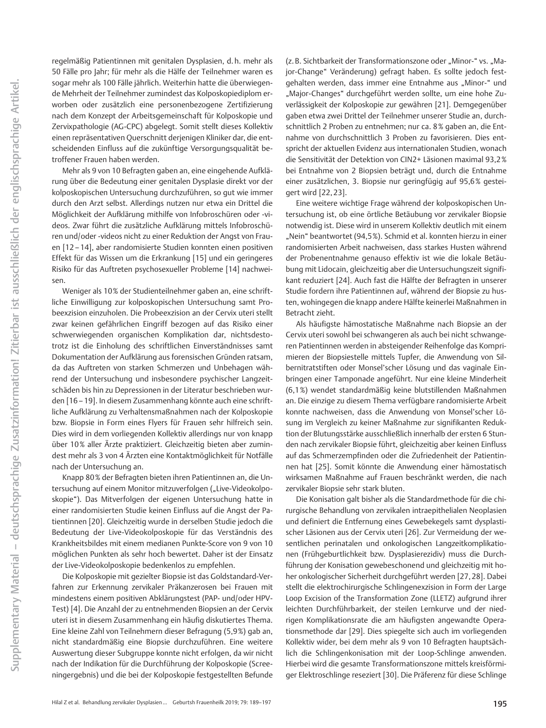regelmäßig Patientinnen mit genitalen Dysplasien, d. h. mehr als 50 Fälle pro Jahr; für mehr als die Hälfe der Teilnehmer waren es sogar mehr als 100 Fälle jährlich. Weiterhin hatte die überwiegende Mehrheit der Teilnehmer zumindest das Kolposkopiediplom erworben oder zusätzlich eine personenbezogene Zertifizierung nach dem Konzept der Arbeitsgemeinschaft für Kolposkopie und Zervixpathologie (AG‑CPC) abgelegt. Somit stellt dieses Kollektiv einen repräsentativen Querschnitt derjenigen Kliniker dar, die entscheidenden Einfluss auf die zukünftige Versorgungsqualität betroffener Frauen haben werden.

Mehr als 9 von 10 Befragten gaben an, eine eingehende Aufklärung über die Bedeutung einer genitalen Dysplasie direkt vor der kolposkopischen Untersuchung durchzuführen, so gut wie immer durch den Arzt selbst. Allerdings nutzen nur etwa ein Drittel die Möglichkeit der Aufklärung mithilfe von Infobroschüren oder ‑videos. Zwar führt die zusätzliche Aufklärung mittels Infobroschüren und/oder ‑videos nicht zu einer Reduktion der Angst von Frauen [12–14], aber randomisierte Studien konnten einen positiven Effekt für das Wissen um die Erkrankung [15] und ein geringeres Risiko für das Auftreten psychosexueller Probleme [14] nachweisen.

Weniger als 10% der Studienteilnehmer gaben an, eine schriftliche Einwilligung zur kolposkopischen Untersuchung samt Probeexzision einzuholen. Die Probeexzision an der Cervix uteri stellt zwar keinen gefährlichen Eingriff bezogen auf das Risiko einer schwerwiegenden organischen Komplikation dar, nichtsdestotrotz ist die Einholung des schriftlichen Einverständnisses samt Dokumentation der Aufklärung aus forensischen Gründen ratsam, da das Auftreten von starken Schmerzen und Unbehagen während der Untersuchung und insbesondere psychischer Langzeitschäden bis hin zu Depressionen in der Literatur beschrieben wurden [16–19]. In diesem Zusammenhang könnte auch eine schriftliche Aufklärung zu Verhaltensmaßnahmen nach der Kolposkopie bzw. Biopsie in Form eines Flyers für Frauen sehr hilfreich sein. Dies wird in dem vorliegenden Kollektiv allerdings nur von knapp über 10% aller Ärzte praktiziert. Gleichzeitig bieten aber zumindest mehr als 3 von 4 Ärzten eine Kontaktmöglichkeit für Notfälle nach der Untersuchung an.

Knapp 80% der Befragten bieten ihren Patientinnen an, die Untersuchung auf einem Monitor mitzuverfolgen ("Live-Videokolposkopie"). Das Mitverfolgen der eigenen Untersuchung hatte in einer randomisierten Studie keinen Einfluss auf die Angst der Patientinnen [20]. Gleichzeitig wurde in derselben Studie jedoch die Bedeutung der Live-Videokolposkopie für das Verständnis des Krankheitsbildes mit einem medianen Punkte-Score von 9 von 10 möglichen Punkten als sehr hoch bewertet. Daher ist der Einsatz der Live-Videokolposkopie bedenkenlos zu empfehlen.

Die Kolposkopie mit gezielter Biopsie ist das Goldstandard-Verfahren zur Erkennung zervikaler Präkanzerosen bei Frauen mit mindestens einem positiven Abklärungstest (PAP- und/oder HPV-Test) [4]. Die Anzahl der zu entnehmenden Biopsien an der Cervix uteri ist in diesem Zusammenhang ein häufig diskutiertes Thema. Eine kleine Zahl von Teilnehmern dieser Befragung (5,9%) gab an, nicht standardmäßig eine Biopsie durchzuführen. Eine weitere Auswertung dieser Subgruppe konnte nicht erfolgen, da wir nicht nach der Indikation für die Durchführung der Kolposkopie (Screeningergebnis) und die bei der Kolposkopie festgestellten Befunde

(z. B. Sichtbarkeit der Transformationszone oder "Minor-" vs. "Major-Change" Veränderung) gefragt haben. Es sollte jedoch festgehalten werden, dass immer eine Entnahme aus "Minor-" und "Major-Changes" durchgeführt werden sollte, um eine hohe Zuverlässigkeit der Kolposkopie zur gewähren [21]. Demgegenüber gaben etwa zwei Drittel der Teilnehmer unserer Studie an, durchschnittlich 2 Proben zu entnehmen; nur ca. 8% gaben an, die Entnahme von durchschnittlich 3 Proben zu favorisieren. Dies entspricht der aktuellen Evidenz aus internationalen Studien, wonach die Sensitivität der Detektion von CIN2+ Läsionen maximal 93,2% bei Entnahme von 2 Biopsien beträgt und, durch die Entnahme einer zusätzlichen, 3. Biopsie nur geringfügig auf 95,6% gesteigert wird [22, 23].

Eine weitere wichtige Frage während der kolposkopischen Untersuchung ist, ob eine örtliche Betäubung vor zervikaler Biopsie notwendig ist. Diese wird in unserem Kollektiv deutlich mit einem "Nein" beantwortet (94,5%). Schmid et al. konnten hierzu in einer randomisierten Arbeit nachweisen, dass starkes Husten während der Probenentnahme genauso effektiv ist wie die lokale Betäubung mit Lidocain, gleichzeitig aber die Untersuchungszeit signifikant reduziert [24]. Auch fast die Hälfte der Befragten in unserer Studie fordern ihre Patientinnen auf, während der Biopsie zu husten, wohingegen die knapp andere Hälfte keinerlei Maßnahmen in Betracht zieht.

Als häufigste hämostatische Maßnahme nach Biopsie an der Cervix uteri sowohl bei schwangeren als auch bei nicht schwangeren Patientinnen werden in absteigender Reihenfolge das Komprimieren der Biopsiestelle mittels Tupfer, die Anwendung von Silbernitratstiften oder Monsel'scher Lösung und das vaginale Einbringen einer Tamponade angeführt. Nur eine kleine Minderheit (6,1%) wendet standardmäßig keine blutstillenden Maßnahmen an. Die einzige zu diesem Thema verfügbare randomisierte Arbeit konnte nachweisen, dass die Anwendung von Monsel'scher Lösung im Vergleich zu keiner Maßnahme zur signifikanten Reduktion der Blutungsstärke ausschließlich innerhalb der ersten 6 Stunden nach zervikaler Biopsie führt, gleichzeitig aber keinen Einfluss auf das Schmerzempfinden oder die Zufriedenheit der Patientinnen hat [25]. Somit könnte die Anwendung einer hämostatisch wirksamen Maßnahme auf Frauen beschränkt werden, die nach zervikaler Biopsie sehr stark bluten.

Die Konisation galt bisher als die Standardmethode für die chirurgische Behandlung von zervikalen intraepithelialen Neoplasien und definiert die Entfernung eines Gewebekegels samt dysplastischer Läsionen aus der Cervix uteri [26]. Zur Vermeidung der wesentlichen perinatalen und onkologischen Langzeitkomplikationen (Frühgeburtlichkeit bzw. Dysplasierezidiv) muss die Durchführung der Konisation gewebeschonend und gleichzeitig mit hoher onkologischer Sicherheit durchgeführt werden [27, 28]. Dabei stellt die elektrochirurgische Schlingenexzision in Form der Large Loop Excision of the Transformation Zone (LLETZ) aufgrund ihrer leichten Durchführbarkeit, der steilen Lernkurve und der niedrigen Komplikationsrate die am häufigsten angewandte Operationsmethode dar [29]. Dies spiegelte sich auch im vorliegenden Kollektiv wider, bei dem mehr als 9 von 10 Befragten hauptsächlich die Schlingenkonisation mit der Loop-Schlinge anwenden. Hierbei wird die gesamte Transformationszone mittels kreisförmiger Elektroschlinge reseziert [30]. Die Präferenz für diese Schlinge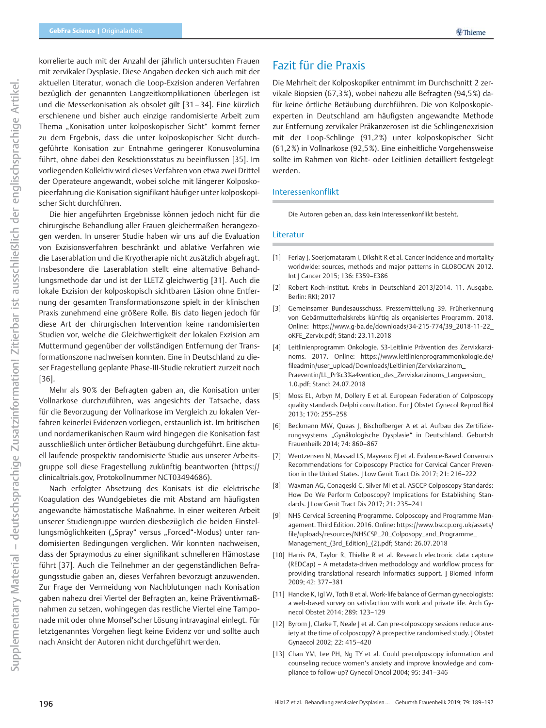korrelierte auch mit der Anzahl der jährlich untersuchten Frauen mit zervikaler Dysplasie. Diese Angaben decken sich auch mit der aktuellen Literatur, wonach die Loop-Exzision anderen Verfahren bezüglich der genannten Langzeitkomplikationen überlegen ist und die Messerkonisation als obsolet gilt [31–34]. Eine kürzlich erschienene und bisher auch einzige randomisierte Arbeit zum Thema "Konisation unter kolposkopischer Sicht" kommt ferner zu dem Ergebnis, dass die unter kolposkopischer Sicht durchgeführte Konisation zur Entnahme geringerer Konusvolumina führt, ohne dabei den Resektionsstatus zu beeinflussen [35]. Im vorliegenden Kollektiv wird dieses Verfahren von etwa zwei Drittel der Operateure angewandt, wobei solche mit längerer Kolposkopieerfahrung die Konisation signifikant häufiger unter kolposkopischer Sicht durchführen.

Die hier angeführten Ergebnisse können jedoch nicht für die chirurgische Behandlung aller Frauen gleichermaßen herangezogen werden. In unserer Studie haben wir uns auf die Evaluation von Exzisionsverfahren beschränkt und ablative Verfahren wie die Laserablation und die Kryotherapie nicht zusätzlich abgefragt. Insbesondere die Laserablation stellt eine alternative Behandlungsmethode dar und ist der LLETZ gleichwertig [31]. Auch die lokale Exzision der kolposkopisch sichtbaren Läsion ohne Entfernung der gesamten Transformationszone spielt in der klinischen Praxis zunehmend eine größere Rolle. Bis dato liegen jedoch für diese Art der chirurgischen Intervention keine randomisierten Studien vor, welche die Gleichwertigkeit der lokalen Exzision am Muttermund gegenüber der vollständigen Entfernung der Transformationszone nachweisen konnten. Eine in Deutschland zu dieser Fragestellung geplante Phase-III-Studie rekrutiert zurzeit noch [36].

Mehr als 90% der Befragten gaben an, die Konisation unter Vollnarkose durchzuführen, was angesichts der Tatsache, dass für die Bevorzugung der Vollnarkose im Vergleich zu lokalen Verfahren keinerlei Evidenzen vorliegen, erstaunlich ist. Im britischen und nordamerikanischen Raum wird hingegen die Konisation fast ausschließlich unter örtlicher Betäubung durchgeführt. Eine aktuell laufende prospektiv randomisierte Studie aus unserer Arbeitsgruppe soll diese Fragestellung zukünftig beantworten (https:// clinicaltrials.gov, Protokollnummer NCT03494686).

Nach erfolgter Absetzung des Konisats ist die elektrische Koagulation des Wundgebietes die mit Abstand am häufigsten angewandte hämostatische Maßnahme. In einer weiteren Arbeit unserer Studiengruppe wurden diesbezüglich die beiden Einstellungsmöglichkeiten ("Spray" versus "Forced"-Modus) unter randomisierten Bedingungen verglichen. Wir konnten nachweisen, dass der Spraymodus zu einer signifikant schnelleren Hämostase führt [37]. Auch die Teilnehmer an der gegenständlichen Befragungsstudie gaben an, dieses Verfahren bevorzugt anzuwenden. Zur Frage der Vermeidung von Nachblutungen nach Konisation gaben nahezu drei Viertel der Befragten an, keine Präventivmaßnahmen zu setzen, wohingegen das restliche Viertel eine Tamponade mit oder ohne Monsel'scher Lösung intravaginal einlegt. Für letztgenanntes Vorgehen liegt keine Evidenz vor und sollte auch nach Ansicht der Autoren nicht durchgeführt werden.

## Fazit für die Praxis

Die Mehrheit der Kolposkopiker entnimmt im Durchschnitt 2 zervikale Biopsien (67,3%), wobei nahezu alle Befragten (94,5%) dafür keine örtliche Betäubung durchführen. Die von Kolposkopieexperten in Deutschland am häufigsten angewandte Methode zur Entfernung zervikaler Präkanzerosen ist die Schlingenexzision mit der Loop-Schlinge (91,2%) unter kolposkopischer Sicht (61,2%) in Vollnarkose (92,5%). Eine einheitliche Vorgehensweise sollte im Rahmen von Richt- oder Leitlinien detailliert festgelegt werden.

### Interessenkonflikt

Die Autoren geben an, dass kein Interessenkonflikt besteht.

### Literatur

- [1] Ferlay J, Soerjomataram I, Dikshit R et al. Cancer incidence and mortality worldwide: sources, methods and major patterns in GLOBOCAN 2012. Int J Cancer 2015; 136: E359–E386
- [2] Robert Koch-Institut. Krebs in Deutschland 2013/2014. 11. Ausgabe. Berlin: RKI; 2017
- [3] Gemeinsamer Bundesausschuss. Pressemitteilung 39. Früherkennung von Gebärmutterhalskrebs künftig als organisiertes Programm. 2018. Online: https://www.g-ba.de/downloads/34-215-774/39\_2018-11-22\_ oKFE\_Zervix.pdf; Stand: 23.11.2018
- [4] Leitlinienprogramm Onkologie. S3-Leitlinie Prävention des Zervixkarzinoms. 2017. Online: https://www.leitlinienprogrammonkologie.de/ fileadmin/user\_upload/Downloads/Leitlinien/Zervixkarzinom\_ Praeventin/LL\_Pr%c3%a4vention\_des\_Zervixkarzinoms\_Langversion\_ 1.0.pdf; Stand: 24.07.2018
- [5] Moss EL, Arbyn M, Dollery E et al. European Federation of Colposcopy quality standards Delphi consultation. Eur J Obstet Gynecol Reprod Biol 2013; 170: 255–258
- [6] Beckmann MW, Quaas J, Bischofberger A et al. Aufbau des Zertifizierungssystems "Gynäkologische Dysplasie" in Deutschland. Geburtsh Frauenheilk 2014; 74: 860–867
- [7] Wentzensen N, Massad LS, Mayeaux EJ et al. Evidence-Based Consensus Recommendations for Colposcopy Practice for Cervical Cancer Prevention in the United States. J Low Genit Tract Dis 2017; 21: 216-222
- [8] Waxman AG, Conageski C, Silver MI et al. ASCCP Colposcopy Standards: How Do We Perform Colposcopy? Implications for Establishing Standards. J Low Genit Tract Dis 2017; 21: 235–241
- [9] NHS Cervical Screening Programme. Colposcopy and Programme Management. Third Edition. 2016. Online: https://www.bsccp.org.uk/assets/ file/uploads/resources/NHSCSP\_20\_Colposopy\_and\_Programme\_ Management\_(3rd\_Edition)\_(2).pdf; Stand: 26.07.2018
- [10] Harris PA, Taylor R, Thielke R et al. Research electronic data capture (REDCap) – A metadata-driven methodology and workflow process for providing translational research informatics support. | Biomed Inform 2009; 42: 377–381
- [11] Hancke K, Igl W, Toth B et al. Work-life balance of German gynecologists: a web-based survey on satisfaction with work and private life. Arch Gynecol Obstet 2014; 289: 123–129
- [12] Byrom J, Clarke T, Neale J et al. Can pre-colposcopy sessions reduce anxiety at the time of colposcopy? A prospective randomised study. J Obstet Gynaecol 2002; 22: 415–420
- [13] Chan YM, Lee PH, Ng TY et al. Could precolposcopy information and counseling reduce women's anxiety and improve knowledge and compliance to follow-up? Gynecol Oncol 2004; 95: 341–346